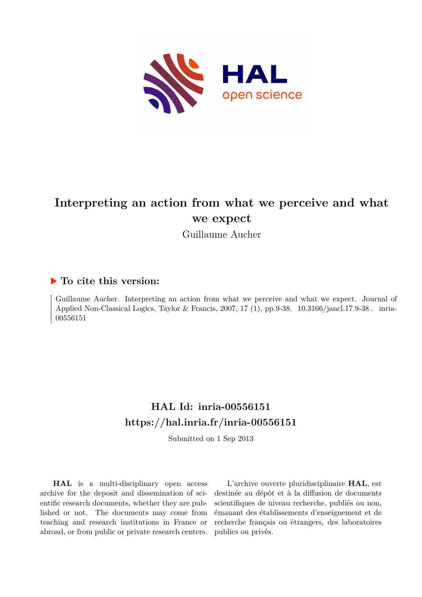

# **Interpreting an action from what we perceive and what we expect**

Guillaume Aucher

## **To cite this version:**

Guillaume Aucher. Interpreting an action from what we perceive and what we expect. Journal of Applied Non-Classical Logics, Taylor & Francis, 2007, 17 (1), pp.9-38.  $10.3166/janel.17.9-38$ . inria-00556151

## **HAL Id: inria-00556151 <https://hal.inria.fr/inria-00556151>**

Submitted on 1 Sep 2013

**HAL** is a multi-disciplinary open access archive for the deposit and dissemination of scientific research documents, whether they are published or not. The documents may come from teaching and research institutions in France or abroad, or from public or private research centers.

L'archive ouverte pluridisciplinaire **HAL**, est destinée au dépôt et à la diffusion de documents scientifiques de niveau recherche, publiés ou non, émanant des établissements d'enseignement et de recherche français ou étrangers, des laboratoires publics ou privés.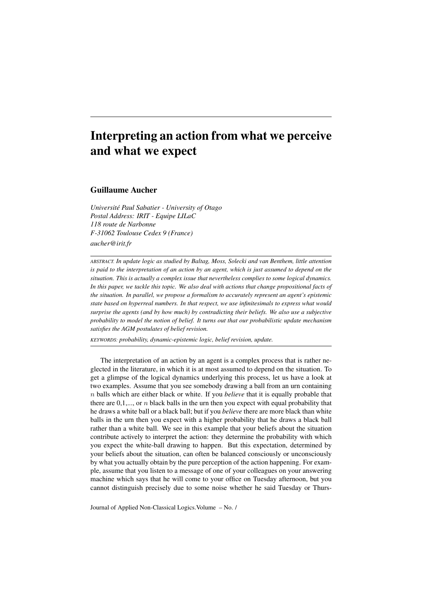## Interpreting an action from what we perceive and what we expect

Guillaume Aucher

*Université Paul Sabatier - University of Otago Postal Address: IRIT - Equipe LILaC 118 route de Narbonne F-31062 Toulouse Cedex 9 (France) aucher@irit.fr*

*ABSTRACT. In update logic as studied by Baltag, Moss, Solecki and van Benthem, little attention is paid to the interpretation of an action by an agent, which is just assumed to depend on the situation. This is actually a complex issue that nevertheless complies to some logical dynamics. In this paper, we tackle this topic. We also deal with actions that change propositional facts of the situation. In parallel, we propose a formalism to accurately represent an agent's epistemic state based on hyperreal numbers. In that respect, we use infinitesimals to express what would surprise the agents (and by how much) by contradicting their beliefs. We also use a subjective probability to model the notion of belief. It turns out that our probabilistic update mechanism satisfies the AGM postulates of belief revision.*

*KEYWORDS: probability, dynamic-epistemic logic, belief revision, update.*

The interpretation of an action by an agent is a complex process that is rather neglected in the literature, in which it is at most assumed to depend on the situation. To get a glimpse of the logical dynamics underlying this process, let us have a look at two examples. Assume that you see somebody drawing a ball from an urn containing n balls which are either black or white. If you *believe* that it is equally probable that there are  $0,1,...,$  or n black balls in the urn then you expect with equal probability that he draws a white ball or a black ball; but if you *believe* there are more black than white balls in the urn then you expect with a higher probability that he draws a black ball rather than a white ball. We see in this example that your beliefs about the situation contribute actively to interpret the action: they determine the probability with which you expect the white-ball drawing to happen. But this expectation, determined by your beliefs about the situation, can often be balanced consciously or unconsciously by what you actually obtain by the pure perception of the action happening. For example, assume that you listen to a message of one of your colleagues on your answering machine which says that he will come to your office on Tuesday afternoon, but you cannot distinguish precisely due to some noise whether he said Tuesday or Thurs-

Journal of Applied Non-Classical Logics.Volume – No. /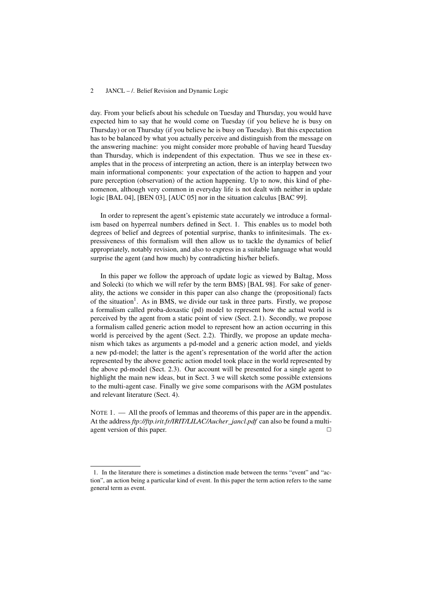day. From your beliefs about his schedule on Tuesday and Thursday, you would have expected him to say that he would come on Tuesday (if you believe he is busy on Thursday) or on Thursday (if you believe he is busy on Tuesday). But this expectation has to be balanced by what you actually perceive and distinguish from the message on the answering machine: you might consider more probable of having heard Tuesday than Thursday, which is independent of this expectation. Thus we see in these examples that in the process of interpreting an action, there is an interplay between two main informational components: your expectation of the action to happen and your pure perception (observation) of the action happening. Up to now, this kind of phenomenon, although very common in everyday life is not dealt with neither in update logic [BAL 04], [BEN 03], [AUC 05] nor in the situation calculus [BAC 99].

In order to represent the agent's epistemic state accurately we introduce a formalism based on hyperreal numbers defined in Sect. 1. This enables us to model both degrees of belief and degrees of potential surprise, thanks to infinitesimals. The expressiveness of this formalism will then allow us to tackle the dynamics of belief appropriately, notably revision, and also to express in a suitable language what would surprise the agent (and how much) by contradicting his/her beliefs.

In this paper we follow the approach of update logic as viewed by Baltag, Moss and Solecki (to which we will refer by the term BMS) [BAL 98]. For sake of generality, the actions we consider in this paper can also change the (propositional) facts of the situation<sup>1</sup>. As in BMS, we divide our task in three parts. Firstly, we propose a formalism called proba-doxastic (pd) model to represent how the actual world is perceived by the agent from a static point of view (Sect. 2.1). Secondly, we propose a formalism called generic action model to represent how an action occurring in this world is perceived by the agent (Sect. 2.2). Thirdly, we propose an update mechanism which takes as arguments a pd-model and a generic action model, and yields a new pd-model; the latter is the agent's representation of the world after the action represented by the above generic action model took place in the world represented by the above pd-model (Sect. 2.3). Our account will be presented for a single agent to highlight the main new ideas, but in Sect. 3 we will sketch some possible extensions to the multi-agent case. Finally we give some comparisons with the AGM postulates and relevant literature (Sect. 4).

NOTE 1. — All the proofs of lemmas and theorems of this paper are in the appendix. At the address *ftp://ftp.irit.fr/IRIT/LILAC/Aucher\_jancl.pdf* can also be found a multiagent version of this paper.  $\Box$ 

<sup>1.</sup> In the literature there is sometimes a distinction made between the terms "event" and "action", an action being a particular kind of event. In this paper the term action refers to the same general term as event.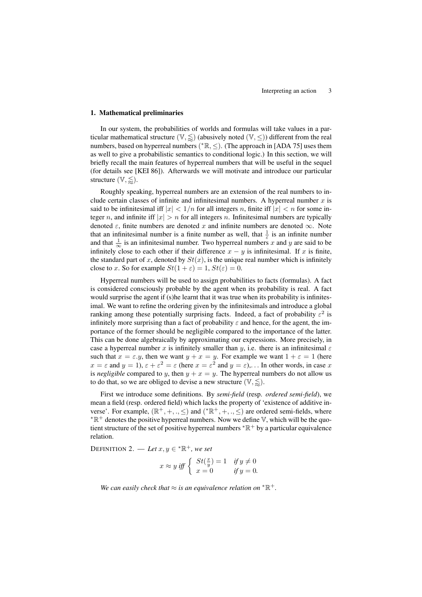#### 1. Mathematical preliminaries

In our system, the probabilities of worlds and formulas will take values in a particular mathematical structure  $(\mathbb{V}, \leq)$  (abusively noted  $(\mathbb{V}, \leq)$ ) different from the real numbers, based on hyperreal numbers ( $^*$ R,  $\leq$ ). (The approach in [ADA 75] uses them as well to give a probabilistic semantics to conditional logic.) In this section, we will briefly recall the main features of hyperreal numbers that will be useful in the sequel (for details see [KEI 86]). Afterwards we will motivate and introduce our particular structure  $(\mathbb{V}, \leq).$ 

Roughly speaking, hyperreal numbers are an extension of the real numbers to include certain classes of infinite and infinitesimal numbers. A hyperreal number  $x$  is said to be infinitesimal iff  $|x| < 1/n$  for all integers n, finite iff  $|x| < n$  for some integer n, and infinite iff  $|x| > n$  for all integers n. Infinitesimal numbers are typically denoted  $\varepsilon$ , finite numbers are denoted x and infinite numbers are denoted  $\infty$ . Note that an infinitesimal number is a finite number as well, that  $\frac{1}{\varepsilon}$  is an infinite number and that  $\frac{1}{\infty}$  is an infinitesimal number. Two hyperreal numbers x and y are said to be infinitely close to each other if their difference  $x - y$  is infinitesimal. If x is finite, the standard part of x, denoted by  $St(x)$ , is the unique real number which is infinitely close to x. So for example  $St(1 + \varepsilon) = 1$ ,  $St(\varepsilon) = 0$ .

Hyperreal numbers will be used to assign probabilities to facts (formulas). A fact is considered consciously probable by the agent when its probability is real. A fact would surprise the agent if (s)he learnt that it was true when its probability is infinitesimal. We want to refine the ordering given by the infinitesimals and introduce a global ranking among these potentially surprising facts. Indeed, a fact of probability  $\varepsilon^2$  is infinitely more surprising than a fact of probability  $\varepsilon$  and hence, for the agent, the importance of the former should be negligible compared to the importance of the latter. This can be done algebraically by approximating our expressions. More precisely, in case a hyperreal number x is infinitely smaller than y, i.e. there is an infinitesimal  $\varepsilon$ such that  $x = \varepsilon y$ , then we want  $y + x = y$ . For example we want  $1 + \varepsilon = 1$  (here  $x = \varepsilon$  and  $y = 1$ ,  $\varepsilon + \varepsilon^2 = \varepsilon$  (here  $x = \varepsilon^2$  and  $y = \varepsilon$ ),... In other words, in case x is *negligible* compared to y, then  $y + x = y$ . The hyperreal numbers do not allow us to do that, so we are obliged to devise a new structure  $(\mathbb{V}, \leq).$ 

First we introduce some definitions. By *semi-field* (resp. *ordered semi-field*), we mean a field (resp. ordered field) which lacks the property of 'existence of additive inverse'. For example,  $(\mathbb{R}^+, +, \cdot, \leq)$  and  $({}^*\mathbb{R}^+, +, \cdot, \leq)$  are ordered semi-fields, where <sup>∗</sup>R <sup>+</sup> denotes the positive hyperreal numbers. Now we define V, which will be the quotient structure of the set of positive hyperreal numbers  ${}^{*} \mathbb{R}^+$  by a particular equivalence relation.

DEFINITION 2.  $-\textit{Let } x, y \in {^*}\mathbb{R}^+, \textit{we set}$ 

$$
x \approx y \text{ iff } \begin{cases} St(\frac{x}{y}) = 1 & \text{ if } y \neq 0 \\ x = 0 & \text{ if } y = 0. \end{cases}
$$

*We can easily check that*  $\approx$  *is an equivalence relation on*  ${}^* \mathbb{R}^+$ *.*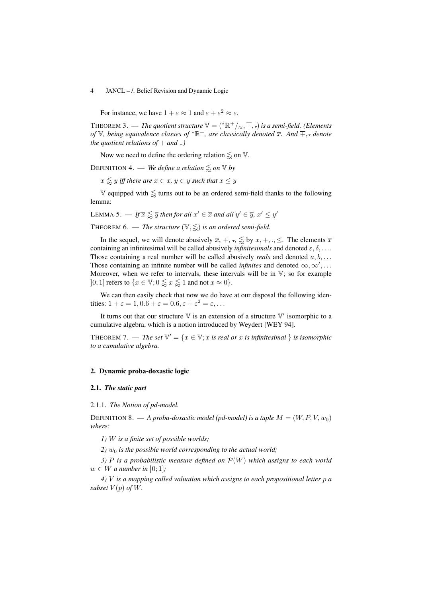For instance, we have  $1 + \varepsilon \approx 1$  and  $\varepsilon + \varepsilon^2 \approx \varepsilon$ .

THEOREM 3. — *The quotient structure*  $\mathbb{V} = (*\mathbb{R}^+/\approx, \overline{+}, .)$  *is a semi-field. (Elements of* V, being equivalence classes of  ${}^{\ast} \mathbb{R}^+$ , are classically denoted  $\overline{x}$ . And  $\overline{+}$ ,  $\overline{=}$  denote *the quotient relations of*  $+$  *and* ..)

Now we need to define the ordering relation  $\lesssim$  on V.

DEFINITION 4. — *We define a relation*  $\leq$  *on* V *by* 

 $\overline{x} \leq \overline{y}$  *iff there are*  $x \in \overline{x}$ *,*  $y \in \overline{y}$  *such that*  $x \leq y$ 

 $\mathbb V$  equipped with  $\lessapprox$  turns out to be an ordered semi-field thanks to the following lemma:

LEMMA 5. — If  $\overline{x} \lessapprox \overline{y}$  then for all  $x' \in \overline{x}$  and all  $y' \in \overline{y}$ ,  $x' \leq y'$ 

THEOREM 6. — *The structure*  $(\mathbb{V}, \leq)$  *is an ordered semi-field.* 

In the sequel, we will denote abusively  $\overline{x}$ ,  $\overline{+}$ ,  $\overline{+}$ ,  $\leq$  by  $x$ ,  $+$ , .,  $\leq$ . The elements  $\overline{x}$ containing an infinitesimal will be called abusively *infinitesimals* and denoted  $\varepsilon, \delta, \dots$ Those containing a real number will be called abusively *reals* and denoted  $a, b, \ldots$ Those containing an infinite number will be called *infinites* and denoted  $\infty, \infty', \ldots$ Moreover, when we refer to intervals, these intervals will be in V; so for example [0; 1] refers to  $\{x \in \mathbb{V}; 0 \leq x \leq 1 \text{ and not } x \approx 0\}.$ 

We can then easily check that now we do have at our disposal the following identities:  $1 + \varepsilon = 1, 0.6 + \varepsilon = 0.6, \varepsilon + \varepsilon^2 = \varepsilon, ...$ 

It turns out that our structure  $\nabla$  is an extension of a structure  $\nabla'$  isomorphic to a cumulative algebra, which is a notion introduced by Weydert [WEY 94].

THEOREM 7. — *The set*  $\mathbb{V}' = \{x \in \mathbb{V}; x \text{ is real or } x \text{ is infinitesimal }\}$  *is isomorphic to a cumulative algebra.*

#### 2. Dynamic proba-doxastic logic

#### 2.1. *The static part*

2.1.1. *The Notion of pd-model.*

DEFINITION 8. — *A proba-doxastic model (pd-model) is a tuple*  $M = (W, P, V, w_0)$ *where:*

*1)* W *is a finite set of possible worlds;*

*2)*  $w_0$  *is the possible world corresponding to the actual world*;

*3)* P *is a probabilistic measure defined on* P(W) *which assigns to each world*  $w \in W$  *a* number in [0; 1];

*4)* V *is a mapping called valuation which assigns to each propositional letter* p *a subset*  $V(p)$  *of*  $W$ *.*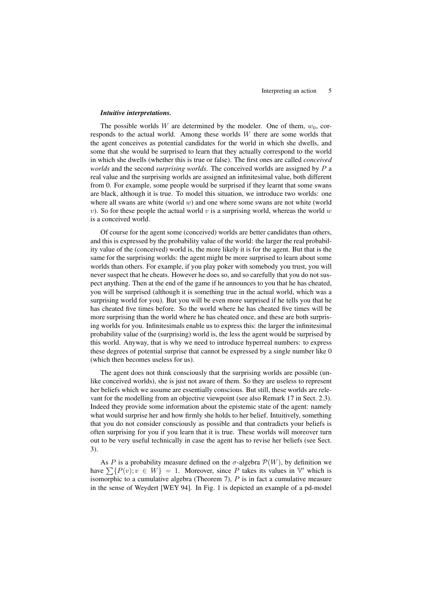#### *Intuitive interpretations.*

The possible worlds W are determined by the modeler. One of them,  $w_0$ , corresponds to the actual world. Among these worlds  $W$  there are some worlds that the agent conceives as potential candidates for the world in which she dwells, and some that she would be surprised to learn that they actually correspond to the world in which she dwells (whether this is true or false). The first ones are called *conceived worlds* and the second *surprising worlds*. The conceived worlds are assigned by P a real value and the surprising worlds are assigned an infinitesimal value, both different from 0. For example, some people would be surprised if they learnt that some swans are black, although it is true. To model this situation, we introduce two worlds: one where all swans are white (world  $w$ ) and one where some swans are not white (world v). So for these people the actual world v is a surprising world, whereas the world w is a conceived world.

Of course for the agent some (conceived) worlds are better candidates than others, and this is expressed by the probability value of the world: the larger the real probability value of the (conceived) world is, the more likely it is for the agent. But that is the same for the surprising worlds: the agent might be more surprised to learn about some worlds than others. For example, if you play poker with somebody you trust, you will never suspect that he cheats. However he does so, and so carefully that you do not suspect anything. Then at the end of the game if he announces to you that he has cheated, you will be surprised (although it is something true in the actual world, which was a surprising world for you). But you will be even more surprised if he tells you that he has cheated five times before. So the world where he has cheated five times will be more surprising than the world where he has cheated once, and these are both surprising worlds for you. Infinitesimals enable us to express this: the larger the infinitesimal probability value of the (surprising) world is, the less the agent would be surprised by this world. Anyway, that is why we need to introduce hyperreal numbers: to express these degrees of potential surprise that cannot be expressed by a single number like 0 (which then becomes useless for us).

The agent does not think consciously that the surprising worlds are possible (unlike conceived worlds), she is just not aware of them. So they are useless to represent her beliefs which we assume are essentially conscious. But still, these worlds are relevant for the modelling from an objective viewpoint (see also Remark 17 in Sect. 2.3). Indeed they provide some information about the epistemic state of the agent: namely what would surprise her and how firmly she holds to her belief. Intuitively, something that you do not consider consciously as possible and that contradicts your beliefs is often surprising for you if you learn that it is true. These worlds will moreover turn out to be very useful technically in case the agent has to revise her beliefs (see Sect. 3).

As P is a probability measure defined on the  $\sigma$ -algebra  $\mathcal{P}(W)$ , by definition we As P is a probability measure defined on the  $\sigma$ -argebra  $P(W)$ , by definition we<br>have  $\sum \{P(v); v \in W\} = 1$ . Moreover, since P takes its values in V' which is isomorphic to a cumulative algebra (Theorem 7),  $P$  is in fact a cumulative measure in the sense of Weydert [WEY 94]. In Fig. 1 is depicted an example of a pd-model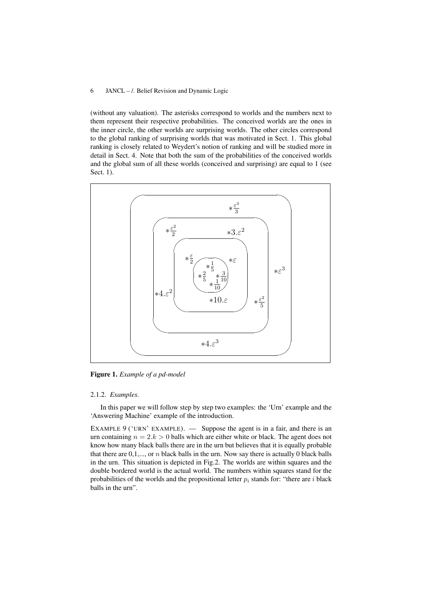(without any valuation). The asterisks correspond to worlds and the numbers next to them represent their respective probabilities. The conceived worlds are the ones in the inner circle, the other worlds are surprising worlds. The other circles correspond to the global ranking of surprising worlds that was motivated in Sect. 1. This global ranking is closely related to Weydert's notion of ranking and will be studied more in detail in Sect. 4. Note that both the sum of the probabilities of the conceived worlds and the global sum of all these worlds (conceived and surprising) are equal to 1 (see Sect. 1).



Figure 1. *Example of a pd-model*

### 2.1.2. *Examples.*

In this paper we will follow step by step two examples: the 'Urn' example and the 'Answering Machine' example of the introduction.

EXAMPLE 9 ('URN' EXAMPLE). — Suppose the agent is in a fair, and there is an urn containing  $n = 2.k > 0$  balls which are either white or black. The agent does not know how many black balls there are in the urn but believes that it is equally probable that there are  $0,1,...$ , or n black balls in the urn. Now say there is actually 0 black balls in the urn. This situation is depicted in Fig.2. The worlds are within squares and the double bordered world is the actual world. The numbers within squares stand for the probabilities of the worlds and the propositional letter  $p_i$  stands for: "there are i black balls in the urn".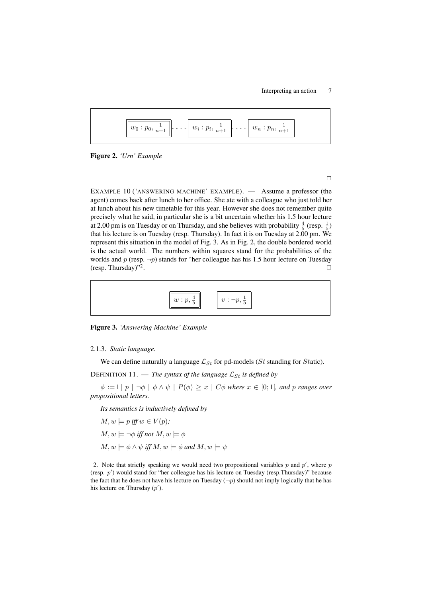

Figure 2. *'Urn' Example*

 $\Box$ 

EXAMPLE 10 ('ANSWERING MACHINE' EXAMPLE). — Assume a professor (the agent) comes back after lunch to her office. She ate with a colleague who just told her at lunch about his new timetable for this year. However she does not remember quite precisely what he said, in particular she is a bit uncertain whether his 1.5 hour lecture at 2.00 pm is on Tuesday or on Thursday, and she believes with probability  $\frac{4}{5}$  (resp.  $\frac{1}{5}$ ) that his lecture is on Tuesday (resp. Thursday). In fact it is on Tuesday at 2.00 pm. We represent this situation in the model of Fig. 3. As in Fig. 2, the double bordered world is the actual world. The numbers within squares stand for the probabilities of the worlds and  $p$  (resp.  $\neg p$ ) stands for "her colleague has his 1.5 hour lecture on Tuesday (resp. Thursday)"<sup>2</sup>. . ✷



Figure 3. *'Answering Machine' Example*

#### 2.1.3. *Static language.*

We can define naturally a language  $\mathcal{L}_{St}$  for pd-models (*St* standing for *Static*).

DEFINITION 11. — *The syntax of the language*  $\mathcal{L}_{St}$  *is defined by* 

 $\phi := \perp |p| \neg \phi | \phi \wedge \psi | P(\phi) \geq x | C\phi$  where  $x \in [0,1]$ , and p ranges over *propositional letters.*

*Its semantics is inductively defined by*

- $M, w \models p$  *iff*  $w \in V(p)$ ;
- $M, w \models \neg \phi$  *iff not*  $M, w \models \phi$

 $M, w \models \phi \land \psi$  *iff*  $M, w \models \phi$  and  $M, w \models \psi$ 

<sup>2.</sup> Note that strictly speaking we would need two propositional variables  $p$  and  $p'$ , where  $p$ (resp.  $p'$ ) would stand for "her colleague has his lecture on Tuesday (resp. Thursday)" because the fact that he does not have his lecture on Tuesday  $(\neg p)$  should not imply logically that he has his lecture on Thursday  $(p')$ .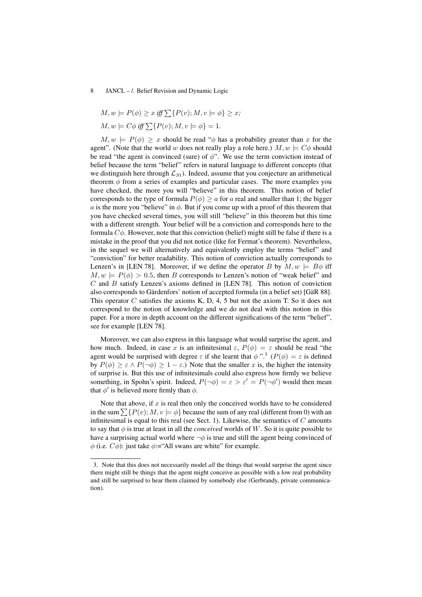## $M, w \models P(\phi) > x \text{ iff } \sum \{P(v); M, v \models \phi\} > x;$

 $M, w \models C\phi$  *iff*  $\sum \{P(v); M, v \models \phi\} = 1$ .

 $M, w \models P(\phi) \geq x$  should be read " $\phi$  has a probability greater than x for the agent". (Note that the world w does not really play a role here.)  $M, w \models C\phi$  should be read "the agent is convinced (sure) of  $\phi$ ". We use the term conviction instead of belief because the term "belief" refers in natural language to different concepts (that we distinguish here through  $\mathcal{L}_{St}$ ). Indeed, assume that you conjecture an arithmetical theorem  $\phi$  from a series of examples and particular cases. The more examples you have checked, the more you will "believe" in this theorem. This notion of belief corresponds to the type of formula  $P(\phi) > a$  for a real and smaller than 1; the bigger a is the more you "believe" in  $\phi$ . But if you come up with a proof of this theorem that you have checked several times, you will still "believe" in this theorem but this time with a different strength. Your belief will be a conviction and corresponds here to the formula  $C\phi$ . However, note that this conviction (belief) might still be false if there is a mistake in the proof that you did not notice (like for Fermat's theorem). Nevertheless, in the sequel we will alternatively and equivalently employ the terms "belief" and "conviction" for better readability. This notion of conviction actually corresponds to Lenzen's in [LEN 78]. Moreover, if we define the operator B by  $M, w \models B\phi$  iff  $M, w \models P(\phi) > 0.5$ , then B corresponds to Lenzen's notion of "weak belief" and C and B satisfy Lenzen's axioms defined in [LEN 78]. This notion of conviction also corresponds to Gärdenfors' notion of accepted formula (in a belief set) [GäR 88]. This operator  $C$  satisfies the axioms K, D, 4, 5 but not the axiom T. So it does not correspond to the notion of knowledge and we do not deal with this notion in this paper. For a more in depth account on the different significations of the term "belief", see for example [LEN 78].

Moreover, we can also express in this language what would surprise the agent, and how much. Indeed, in case x is an infinitesimal  $\varepsilon$ ,  $P(\phi) = \varepsilon$  should be read "the agent would be surprised with degree  $\varepsilon$  if she learnt that  $\phi$  ".<sup>3</sup> ( $P(\phi) = \varepsilon$  is defined by  $P(\phi) \ge \varepsilon \wedge P(\neg \phi) \ge 1 - \varepsilon$ .) Note that the smaller x is, the higher the intensity of surprise is. But this use of infinitesimals could also express how firmly we believe something, in Spohn's spirit. Indeed,  $P(\neg \phi) = \varepsilon > \varepsilon' = P(\neg \phi')$  would then mean that  $\phi'$  is believed more firmly than  $\phi$ .

Note that above, if  $x$  is real then only the conceived worlds have to be considered in the sum  $\sum \{P(v); M, v \models \phi\}$  because the sum of any real (different from 0) with an infinitesimal is equal to this real (see Sect. 1). Likewise, the semantics of  $C$  amounts to say that  $\phi$  is true at least in all the *conceived* worlds of W. So it is quite possible to have a surprising actual world where  $\neg \phi$  is true and still the agent being convinced of  $\phi$  (i.e.  $C\phi$ ): just take  $\phi$ :="All swans are white" for example.

<sup>3.</sup> Note that this does not necessarily model *all* the things that would surprise the agent since there might still be things that the agent might conceive as possible with a low real probability and still be surprised to hear them claimed by somebody else (Gerbrandy, private communication).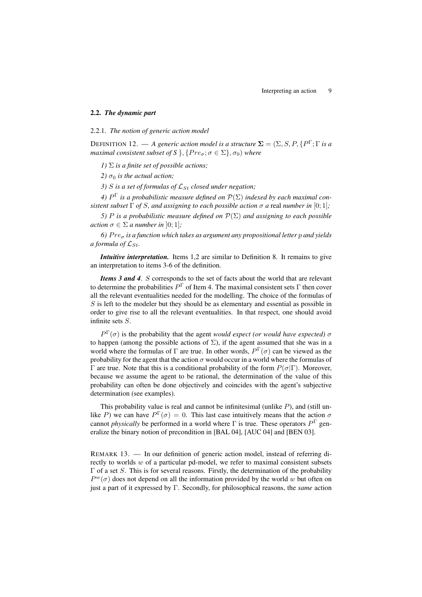#### 2.2. *The dynamic part*

2.2.1. *The notion of generic action model*

**DEFINITION 12.** — A generic action model is a structure  $\Sigma = (\Sigma, S, P, \{P^{\Gamma}; \Gamma \text{ is a})\}$ *maximal consistent subset of S* }, { $Pre_{\sigma}$ ;  $\sigma \in \Sigma$ },  $\sigma_0$ *) where* 

*1)* Σ *is a finite set of possible actions;*

*2)*  $\sigma_0$  *is the actual action;* 

*3) S is a set of formulas of*  $\mathcal{L}_{St}$  *closed under negation;* 

*4*)  $P^{\Gamma}$  is a probabilistic measure defined on  $\mathcal{P}(\Sigma)$  indexed by each maximal con*sistent subset*  $\Gamma$  *of*  $S$ *, and assigning to each possible action*  $\sigma$  *a* real *number in* [0; 1]*;* 

*5)* P *is a probabilistic measure defined on* P(Σ) *and assigning to each possible action*  $\sigma \in \Sigma$  *a* number in [0; 1]*;* 

*6)* P re<sup>σ</sup> *is a function which takes as argument any propositional letter* p *and yields a formula of*  $\mathcal{L}_{St}$ .

*Intuitive interpretation.* Items 1,2 are similar to Definition 8. It remains to give an interpretation to items 3-6 of the definition.

*Items 3 and 4*. S corresponds to the set of facts about the world that are relevant to determine the probabilities  $P^{\Gamma}$  of Item 4. The maximal consistent sets  $\Gamma$  then cover all the relevant eventualities needed for the modelling. The choice of the formulas of S is left to the modeler but they should be as elementary and essential as possible in order to give rise to all the relevant eventualities. In that respect, one should avoid infinite sets S.

 $P^{\Gamma}(\sigma)$  is the probability that the agent *would expect (or would have expected)*  $\sigma$ to happen (among the possible actions of  $\Sigma$ ), if the agent assumed that she was in a world where the formulas of  $\Gamma$  are true. In other words,  $P^{\Gamma}(\sigma)$  can be viewed as the probability for the agent that the action  $\sigma$  would occur in a world where the formulas of Γ are true. Note that this is a conditional probability of the form  $P(σ|Γ)$ . Moreover, because we assume the agent to be rational, the determination of the value of this probability can often be done objectively and coincides with the agent's subjective determination (see examples).

This probability value is real and cannot be infinitesimal (unlike  $P$ ), and (still unlike P) we can have  $P^{\Gamma}(\sigma) = 0$ . This last case intuitively means that the action  $\sigma$ cannot *physically* be performed in a world where  $\Gamma$  is true. These operators  $P^{\Gamma}$  generalize the binary notion of precondition in [BAL 04], [AUC 04] and [BEN 03].

REMARK 13. — In our definition of generic action model, instead of referring directly to worlds  $w$  of a particular pd-model, we refer to maximal consistent subsets  $\Gamma$  of a set S. This is for several reasons. Firstly, the determination of the probability  $P^{w}(\sigma)$  does not depend on all the information provided by the world w but often on just a part of it expressed by Γ. Secondly, for philosophical reasons, the *same* action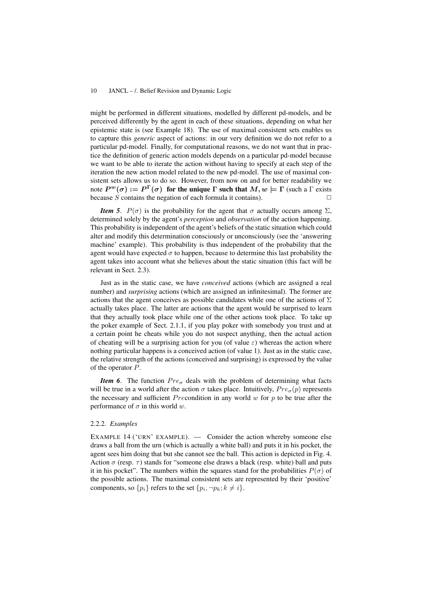might be performed in different situations, modelled by different pd-models, and be perceived differently by the agent in each of these situations, depending on what her epistemic state is (see Example 18). The use of maximal consistent sets enables us to capture this *generic* aspect of actions: in our very definition we do not refer to a particular pd-model. Finally, for computational reasons, we do not want that in practice the definition of generic action models depends on a particular pd-model because we want to be able to iterate the action without having to specify at each step of the iteration the new action model related to the new pd-model. The use of maximal consistent sets allows us to do so. However, from now on and for better readability we note  $P^w(\sigma) := P^{\Gamma}(\sigma)$  for the unique  $\Gamma$  such that  $M, w \models \Gamma$  (such a  $\Gamma$  exists because  $S$  contains the negation of each formula it contains).  $\Box$ 

*Item 5.*  $P(\sigma)$  is the probability for the agent that  $\sigma$  actually occurs among  $\Sigma$ , determined solely by the agent's *perception* and *observation* of the action happening. This probability is independent of the agent's beliefs of the static situation which could alter and modify this determination consciously or unconsciously (see the 'answering machine' example). This probability is thus independent of the probability that the agent would have expected  $\sigma$  to happen, because to determine this last probability the agent takes into account what she believes about the static situation (this fact will be relevant in Sect. 2.3).

Just as in the static case, we have *conceived* actions (which are assigned a real number) and *surprising* actions (which are assigned an infinitesimal). The former are actions that the agent conceives as possible candidates while one of the actions of  $\Sigma$ actually takes place. The latter are actions that the agent would be surprised to learn that they actually took place while one of the other actions took place. To take up the poker example of Sect. 2.1.1, if you play poker with somebody you trust and at a certain point he cheats while you do not suspect anything, then the actual action of cheating will be a surprising action for you (of value  $\varepsilon$ ) whereas the action where nothing particular happens is a conceived action (of value 1). Just as in the static case, the relative strength of the actions (conceived and surprising) is expressed by the value of the operator P.

*Item 6*. The function  $Pre_{\sigma}$  deals with the problem of determining what facts will be true in a world after the action  $\sigma$  takes place. Intuitively,  $Pre_{\sigma}(p)$  represents the necessary and sufficient *P* recondition in any world  $w$  for  $p$  to be true after the performance of  $\sigma$  in this world w.

#### 2.2.2. *Examples*

EXAMPLE 14 ('URN' EXAMPLE). — Consider the action whereby someone else draws a ball from the urn (which is actually a white ball) and puts it in his pocket, the agent sees him doing that but she cannot see the ball. This action is depicted in Fig. 4. Action  $\sigma$  (resp.  $\tau$ ) stands for "someone else draws a black (resp. white) ball and puts it in his pocket". The numbers within the squares stand for the probabilities  $P(\sigma)$  of the possible actions. The maximal consistent sets are represented by their 'positive' components, so  $\{p_i\}$  refers to the set  $\{p_i, \neg p_k; k \neq i\}.$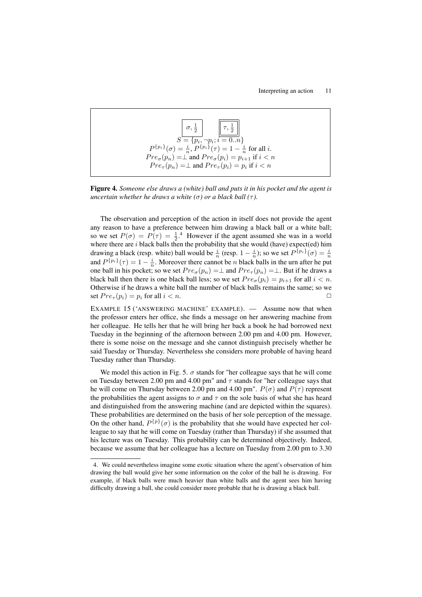

Figure 4. *Someone else draws a (white) ball and puts it in his pocket and the agent is uncertain whether he draws a white (* $\sigma$ *) or a black ball (* $\tau$ *).* 

The observation and perception of the action in itself does not provide the agent any reason to have a preference between him drawing a black ball or a white ball; so we set  $P(\sigma) = P(\tau) = \frac{1}{2}$ .<sup>4</sup> However if the agent assumed she was in a world where there are  $i$  black balls then the probability that she would (have) expect(ed) him drawing a black (resp. white) ball would be  $\frac{i}{n}$  (resp.  $1 - \frac{i}{n}$ ); so we set  $P^{\{p_i\}}(\sigma) = \frac{i}{n}$ and  $P^{\{p_i\}}(\tau) = 1 - \frac{i}{n}$ . Moreover there cannot be *n* black balls in the urn after he put one ball in his pocket; so we set  $Pre_{\sigma}(p_n) = \perp$  and  $Pre_{\tau}(p_n) = \perp$ . But if he draws a black ball then there is one black ball less; so we set  $Pre_{\sigma}(p_i) = p_{i+1}$  for all  $i < n$ . Otherwise if he draws a white ball the number of black balls remains the same; so we set  $Pre_{\tau}(p_i) = p_i$  for all  $i < n$ .

EXAMPLE 15 ('ANSWERING MACHINE' EXAMPLE). — Assume now that when the professor enters her office, she finds a message on her answering machine from her colleague. He tells her that he will bring her back a book he had borrowed next Tuesday in the beginning of the afternoon between 2.00 pm and 4.00 pm. However, there is some noise on the message and she cannot distinguish precisely whether he said Tuesday or Thursday. Nevertheless she considers more probable of having heard Tuesday rather than Thursday.

We model this action in Fig. 5.  $\sigma$  stands for "her colleague says that he will come on Tuesday between 2.00 pm and 4.00 pm" and  $\tau$  stands for "her colleague says that he will come on Thursday between 2.00 pm and 4.00 pm".  $P(\sigma)$  and  $P(\tau)$  represent the probabilities the agent assigns to  $\sigma$  and  $\tau$  on the sole basis of what she has heard and distinguished from the answering machine (and are depicted within the squares). These probabilities are determined on the basis of her sole perception of the message. On the other hand,  $P^{\{p\}}(\sigma)$  is the probability that she would have expected her colleague to say that he will come on Tuesday (rather than Thursday) if she assumed that his lecture was on Tuesday. This probability can be determined objectively. Indeed, because we assume that her colleague has a lecture on Tuesday from 2.00 pm to 3.30

<sup>4.</sup> We could nevertheless imagine some exotic situation where the agent's observation of him drawing the ball would give her some information on the color of the ball he is drawing. For example, if black balls were much heavier than white balls and the agent sees him having difficulty drawing a ball, she could consider more probable that he is drawing a black ball.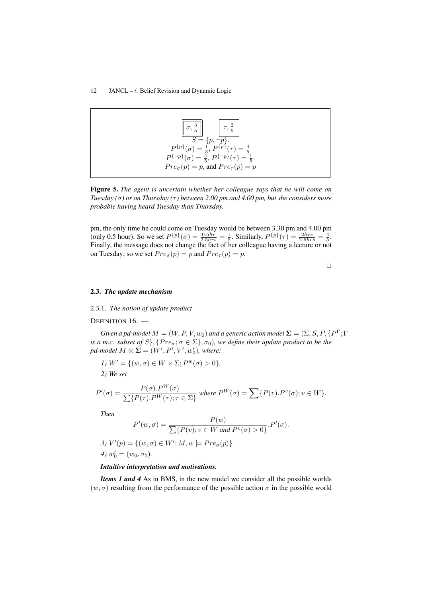

Figure 5. *The agent is uncertain whether her colleague says that he will come on Tuesday (*σ*) or on Thursday (*τ *) between 2.00 pm and 4.00 pm, but she considers more probable having heard Tuesday than Thursday.*

pm, the only time he could come on Tuesday would be between 3.30 pm and 4.00 pm (only 0.5 hour). So we set  $P^{\{p\}}(\sigma) = \frac{0.5hr}{2.5hrs} = \frac{1}{5}$ . Similarly,  $P^{\{p\}}(\tau) = \frac{2hrs}{2.5hrs} = \frac{4}{5}$ . Finally, the message does not change the fact of her colleague having a lecture or not on Tuesday; so we set  $Pre_{\sigma}(p) = p$  and  $Pre_{\tau}(p) = p$ .

 $\Box$ 

#### 2.3. *The update mechanism*

#### 2.3.1. *The notion of update product*

DEFINITION 16. -

 $G$ iven a pd-model  $M = (W, P, V, w_0)$  and a generic action model  $\boldsymbol{\Sigma} = (\Sigma, S, P, \{P^\Gamma; \Gamma\})$ *is a m.c. subset of*  $S$ }, { $Pre_{\sigma}$ ;  $\sigma \in \Sigma$ },  $\sigma_0$ )*, we define their update product to be the*  $pd$ -model  $M \otimes \Sigma = (W', P', V', w'_0)$ , where:

\n- $$
I) W' = \{(w, \sigma) \in W \times \Sigma; P^w(\sigma) > 0\}.
$$
\n- $2)$  We set
\n

$$
P'(\sigma) = \frac{P(\sigma).P^W(\sigma)}{\sum\{P(\tau).P^W(\tau);\tau\in\Sigma\}} \text{ where } P^W(\sigma) = \sum\{P(v).P^v(\sigma);v\in W\}.
$$

*Then*

$$
P'(w, \sigma) = \frac{P(w)}{\sum\{P(v); v \in W \text{ and } P^v(\sigma) > 0\}} \cdot P'(\sigma).
$$
  

$$
3) V'(p) = \{(w, \sigma) \in W'; M, w \models Pre_{\sigma}(p)\}.
$$

*4*)  $w'_0 = (w_0, \sigma_0)$ .

#### *Intuitive interpretation and motivations.*

*Items 1 and 4* As in BMS, in the new model we consider all the possible worlds  $(w, \sigma)$  resulting from the performance of the possible action  $\sigma$  in the possible world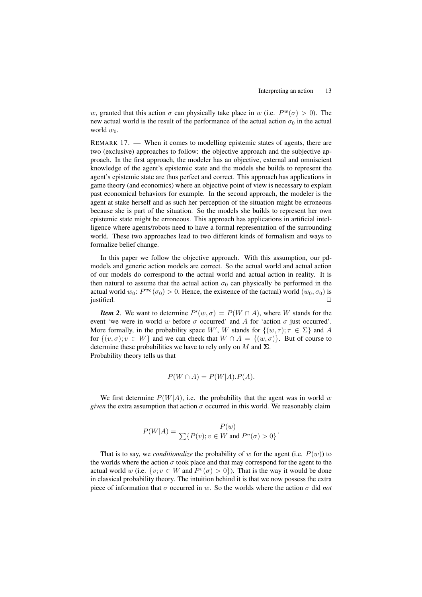w, granted that this action  $\sigma$  can physically take place in w (i.e.  $P^w(\sigma) > 0$ ). The new actual world is the result of the performance of the actual action  $\sigma_0$  in the actual world  $w_0$ .

REMARK 17. — When it comes to modelling epistemic states of agents, there are two (exclusive) approaches to follow: the objective approach and the subjective approach. In the first approach, the modeler has an objective, external and omniscient knowledge of the agent's epistemic state and the models she builds to represent the agent's epistemic state are thus perfect and correct. This approach has applications in game theory (and economics) where an objective point of view is necessary to explain past economical behaviors for example. In the second approach, the modeler is the agent at stake herself and as such her perception of the situation might be erroneous because she is part of the situation. So the models she builds to represent her own epistemic state might be erroneous. This approach has applications in artificial intelligence where agents/robots need to have a formal representation of the surrounding world. These two approaches lead to two different kinds of formalism and ways to formalize belief change.

In this paper we follow the objective approach. With this assumption, our pdmodels and generic action models are correct. So the actual world and actual action of our models do correspond to the actual world and actual action in reality. It is then natural to assume that the actual action  $\sigma_0$  can physically be performed in the actual world  $w_0$ :  $P^{w_0}(\sigma_0) > 0$ . Hence, the existence of the (actual) world  $(w_0, \sigma_0)$  is justified.  $\Box$ 

*Item 2.* We want to determine  $P'(w, \sigma) = P(W \cap A)$ , where W stands for the event 'we were in world w before  $\sigma$  occurred' and A for 'action  $\sigma$  just occurred'. More formally, in the probability space W', W stands for  $\{(w, \tau); \tau \in \Sigma\}$  and A for  $\{(v, \sigma): v \in W\}$  and we can check that  $W \cap A = \{(w, \sigma)\}\$ . But of course to determine these probabilities we have to rely only on M and  $\Sigma$ . Probability theory tells us that

$$
P(W \cap A) = P(W|A).P(A).
$$

We first determine  $P(W|A)$ , i.e. the probability that the agent was in world w *given* the extra assumption that action  $\sigma$  occurred in this world. We reasonably claim

$$
P(W|A) = \frac{P(w)}{\sum\{P(v); v \in W \text{ and } P^v(\sigma) > 0\}}.
$$

That is to say, we *conditionalize* the probability of w for the agent (i.e.  $P(w)$ ) to the worlds where the action  $\sigma$  took place and that may correspond for the agent to the actual world w (i.e.  $\{v; v \in W \text{ and } P^v(\sigma) > 0\}$ ). That is the way it would be done in classical probability theory. The intuition behind it is that we now possess the extra piece of information that  $\sigma$  occurred in w. So the worlds where the action  $\sigma$  did *not*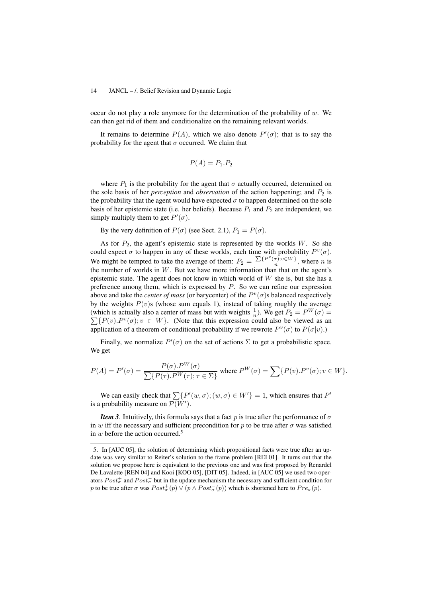occur do not play a role anymore for the determination of the probability of  $w$ . We can then get rid of them and conditionalize on the remaining relevant worlds.

It remains to determine  $P(A)$ , which we also denote  $P'(\sigma)$ ; that is to say the probability for the agent that  $\sigma$  occurred. We claim that

$$
P(A) = P_1.P_2
$$

where  $P_1$  is the probability for the agent that  $\sigma$  actually occurred, determined on the sole basis of her *perception* and *observation* of the action happening; and  $P_2$  is the probability that the agent would have expected  $\sigma$  to happen determined on the sole basis of her epistemic state (i.e. her beliefs). Because  $P_1$  and  $P_2$  are independent, we simply multiply them to get  $P'(\sigma)$ .

By the very definition of  $P(\sigma)$  (see Sect. 2.1),  $P_1 = P(\sigma)$ .

As for  $P_2$ , the agent's epistemic state is represented by the worlds  $W$ . So she could expect  $\sigma$  to happen in any of these worlds, each time with probability  $P^v(\sigma)$ . We might be tempted to take the average of them:  $P_2 = \frac{\sum \{P^v(\sigma), v \in W\}}{n}$  $\frac{\sigma}{n}$ ; where *n* is the number of worlds in  $W$ . But we have more information than that on the agent's epistemic state. The agent does not know in which world of  $W$  she is, but she has a preference among them, which is expressed by P. So we can refine our expression above and take the *center of mass* (or barycenter) of the  $P^v(\sigma)$ s balanced respectively by the weights  $P(v)$ s (whose sum equals 1), instead of taking roughly the average (which is actually also a center of mass but with weights  $\frac{1}{n}$ ). We get  $P_2 = P^W(\sigma) = \sum_{n=1}^{\infty} P^N(\sigma)$  $\{P(v), P^v(\sigma); v \in W\}$ . (Note that this expression could also be viewed as an application of a theorem of conditional probability if we rewrote  $P^v(\sigma)$  to  $P(\sigma|v)$ .)

Finally, we normalize  $P'(\sigma)$  on the set of actions  $\Sigma$  to get a probabilistic space. We get

$$
P(A) = P'(\sigma) = \frac{P(\sigma).P^W(\sigma)}{\sum\{P(\tau).P^W(\tau);\tau \in \Sigma\}} \text{ where } P^W(\sigma) = \sum\{P(v).P^v(\sigma); v \in W\}.
$$

We can easily check that  $\sum \{P'(w, \sigma); (w, \sigma) \in W'\} = 1$ , which ensures that  $P'$ is a probability measure on  $\mathcal{P}(W')$ .

*Item 3*. Intuitively, this formula says that a fact p is true after the performance of  $\sigma$ in w iff the necessary and sufficient precondition for p to be true after  $\sigma$  was satisfied in  $w$  before the action occurred.<sup>5</sup>

<sup>5.</sup> In [AUC 05], the solution of determining which propositional facts were true after an update was very similar to Reiter's solution to the frame problem [REI 01]. It turns out that the solution we propose here is equivalent to the previous one and was first proposed by Renardel De Lavalette [REN 04] and Kooi [KOO 05], [DIT 05]. Indeed, in [AUC 05] we used two operators  $Post_{\sigma}^{+}$  and  $Post_{\sigma}^{-}$  but in the update mechanism the necessary and sufficient condition for p to be true after  $\sigma$  was  $Post^+_{\sigma}(p) \vee (p \wedge Post^-_{\sigma}(p))$  which is shortened here to  $Pre_{\sigma}(p)$ .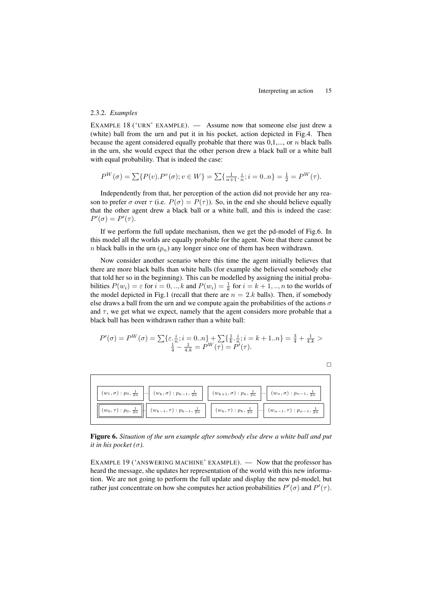#### 2.3.2. *Examples*

EXAMPLE 18 ('URN' EXAMPLE).  $\longrightarrow$  Assume now that someone else just drew a (white) ball from the urn and put it in his pocket, action depicted in Fig.4. Then because the agent considered equally probable that there was  $0,1,...$ , or n black balls in the urn, she would expect that the other person drew a black ball or a white ball with equal probability. That is indeed the case:

$$
P^{W}(\sigma) = \sum \{ P(v). P^{v}(\sigma); v \in W \} = \sum \{ \frac{1}{n+1} \cdot \frac{i}{n}; i = 0..n \} = \frac{1}{2} = P^{W}(\tau).
$$

Independently from that, her perception of the action did not provide her any reason to prefer  $\sigma$  over  $\tau$  (i.e.  $P(\sigma) = P(\tau)$ ). So, in the end she should believe equally that the other agent drew a black ball or a white ball, and this is indeed the case:  $P'(\sigma) = P'(\tau).$ 

If we perform the full update mechanism, then we get the pd-model of Fig.6. In this model all the worlds are equally probable for the agent. Note that there cannot be *n* black balls in the urn  $(p_n)$  any longer since one of them has been withdrawn.

Now consider another scenario where this time the agent initially believes that there are more black balls than white balls (for example she believed somebody else that told her so in the beginning). This can be modelled by assigning the initial probabilities  $P(w_i) = \varepsilon$  for  $i = 0, ..., k$  and  $P(w_i) = \frac{1}{k}$  for  $i = k + 1, ..., n$  to the worlds of the model depicted in Fig.1 (recall that there are  $n = 2.k$  balls). Then, if somebody else draws a ball from the urn and we compute again the probabilities of the actions  $\sigma$ and  $\tau$ , we get what we expect, namely that the agent considers more probable that a black ball has been withdrawn rather than a white ball:

$$
P'(\sigma) = P^{W}(\sigma) = \sum \{ \varepsilon, \frac{i}{n}; i = 0..n \} + \sum \{ \frac{1}{k}, \frac{i}{n}; i = k+1..n \} = \frac{3}{4} + \frac{1}{4 \cdot k} > \frac{1}{4} - \frac{1}{4 \cdot k} = P^{W}(\tau) = P'(\tau).
$$

 $\Box$ 



Figure 6. *Situation of the urn example after somebody else drew a white ball and put it in his pocket (*σ*).*

EXAMPLE 19 ('ANSWERING MACHINE' EXAMPLE). — Now that the professor has heard the message, she updates her representation of the world with this new information. We are not going to perform the full update and display the new pd-model, but rather just concentrate on how she computes her action probabilities  $P'(\sigma)$  and  $P'(\tau)$ .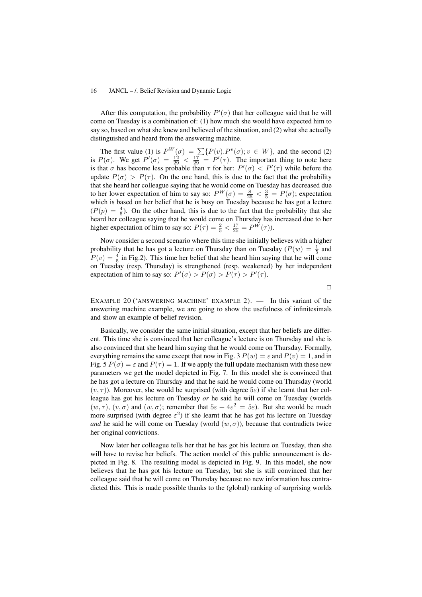After this computation, the probability  $P'(\sigma)$  that her colleague said that he will come on Tuesday is a combination of: (1) how much she would have expected him to say so, based on what she knew and believed of the situation, and (2) what she actually distinguished and heard from the answering machine.

The first value (1) is  $P^W(\sigma) = \sum \{ P(v) \cdot P^v(\sigma) ; v \in W \}$ , and the second (2) is  $P(\sigma)$ . We get  $P'(\sigma) = \frac{12}{29} < \frac{17}{29} = P'(\tau)$ . The important thing to note here is that  $\sigma$  has become less probable than  $\tau$  for her:  $P'(\sigma) < P'(\tau)$  while before the update  $P(\sigma) > P(\tau)$ . On the one hand, this is due to the fact that the probability that she heard her colleague saying that he would come on Tuesday has decreased due to her lower expectation of him to say so:  $P^{W}(\sigma) = \frac{8}{25} < \frac{3}{5} = P(\sigma)$ ; expectation which is based on her belief that he is busy on Tuesday because he has got a lecture  $(P(p) = \frac{4}{5})$ . On the other hand, this is due to the fact that the probability that she heard her colleague saying that he would come on Thursday has increased due to her higher expectation of him to say so:  $P(\tau) = \frac{2}{5} < \frac{17}{25} = P^W(\tau)$ ).

Now consider a second scenario where this time she initially believes with a higher probability that he has got a lecture on Thursday than on Tuesday ( $P(w) = \frac{1}{5}$  and  $P(v) = \frac{4}{5}$  in Fig.2). This time her belief that she heard him saying that he will come on Tuesday (resp. Thursday) is strengthened (resp. weakened) by her independent expectation of him to say so:  $P'(\sigma) > P(\sigma) > P(\tau) > P'(\tau)$ .

EXAMPLE 20 ('ANSWERING MACHINE' EXAMPLE 2). — In this variant of the answering machine example, we are going to show the usefulness of infinitesimals and show an example of belief revision.

 $\Box$ 

Basically, we consider the same initial situation, except that her beliefs are different. This time she is convinced that her colleague's lecture is on Thursday and she is also convinced that she heard him saying that he would come on Thursday. Formally, everything remains the same except that now in Fig. 3  $P(w) = \varepsilon$  and  $P(v) = 1$ , and in Fig. 5  $P(\sigma) = \varepsilon$  and  $P(\tau) = 1$ . If we apply the full update mechanism with these new parameters we get the model depicted in Fig. 7. In this model she is convinced that he has got a lecture on Thursday and that he said he would come on Thursday (world  $(v, \tau)$ ). Moreover, she would be surprised (with degree  $5\varepsilon$ ) if she learnt that her colleague has got his lecture on Tuesday *or* he said he will come on Tuesday (worlds  $(w, \tau)$ ,  $(v, \sigma)$  and  $(w, \sigma)$ ; remember that  $5\varepsilon + 4\varepsilon^2 = 5\varepsilon$ ). But she would be much more surprised (with degree  $\varepsilon^2$ ) if she learnt that he has got his lecture on Tuesday *and* he said he will come on Tuesday (world  $(w, \sigma)$ ), because that contradicts twice her original convictions.

Now later her colleague tells her that he has got his lecture on Tuesday, then she will have to revise her beliefs. The action model of this public announcement is depicted in Fig. 8. The resulting model is depicted in Fig. 9. In this model, she now believes that he has got his lecture on Tuesday, but she is still convinced that her colleague said that he will come on Thursday because no new information has contradicted this. This is made possible thanks to the (global) ranking of surprising worlds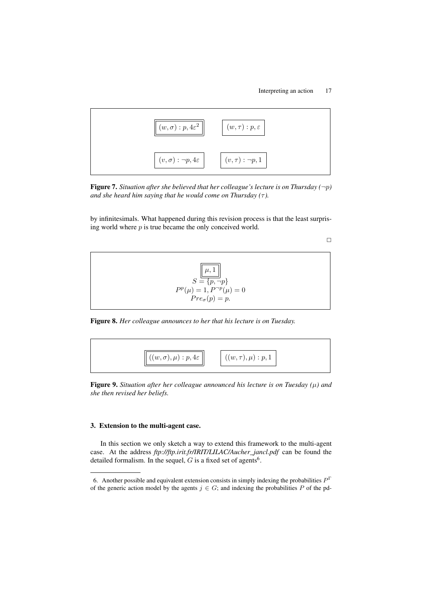

**Figure 7.** *Situation after she believed that her colleague's lecture is on Thursday*  $(\neg p)$ *and she heard him saying that he would come on Thursday*  $(τ)$ *.* 

by infinitesimals. What happened during this revision process is that the least surprising world where  $p$  is true became the only conceived world.

 $\Box$ 



Figure 8. *Her colleague announces to her that his lecture is on Tuesday.*



**Figure 9.** Situation after her colleague announced his lecture is on Tuesday ( $\mu$ ) and *she then revised her beliefs.*

#### 3. Extension to the multi-agent case.

In this section we only sketch a way to extend this framework to the multi-agent case. At the address *ftp://ftp.irit.fr/IRIT/LILAC/Aucher\_jancl.pdf* can be found the detailed formalism. In the sequel,  $G$  is a fixed set of agents<sup>6</sup>.

<sup>6.</sup> Another possible and equivalent extension consists in simply indexing the probabilities  $P^{\Gamma}$ of the generic action model by the agents  $j \in G$ ; and indexing the probabilities P of the pd-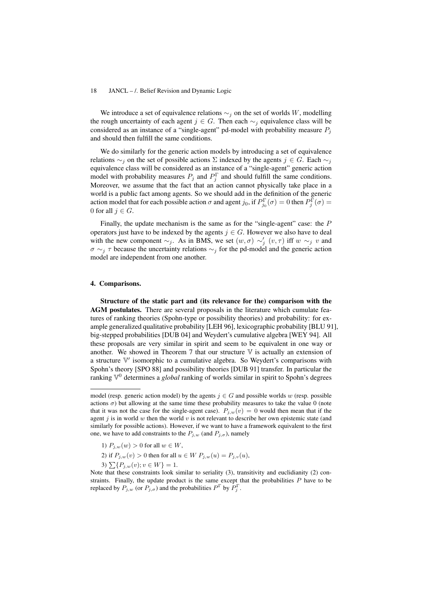We introduce a set of equivalence relations  $\sim$ <sub>j</sub> on the set of worlds W, modelling the rough uncertainty of each agent  $j \in G$ . Then each  $\sim_j$  equivalence class will be considered as an instance of a "single-agent" pd-model with probability measure  $P_i$ and should then fulfill the same conditions.

We do similarly for the generic action models by introducing a set of equivalence relations  $\sim_j$  on the set of possible actions Σ indexed by the agents  $j \in G$ . Each  $\sim_j$ equivalence class will be considered as an instance of a "single-agent" generic action model with probability measures  $P_j$  and  $P_j^{\Gamma}$  and should fulfill the same conditions. Moreover, we assume that the fact that an action cannot physically take place in a world is a public fact among agents. So we should add in the definition of the generic action model that for each possible action  $\sigma$  and agent  $j_0$ , if  $P_{j_0}^{\Gamma}(\sigma) = 0$  then  $P_j^{\Gamma}(\sigma) = 0$ 0 for all  $j \in G$ .

Finally, the update mechanism is the same as for the "single-agent" case: the P operators just have to be indexed by the agents  $j \in G$ . However we also have to deal with the new component  $\sim_j$ . As in BMS, we set  $(w, \sigma) \sim'_j (v, \tau)$  iff  $w \sim_j v$  and  $\sigma \sim_i \tau$  because the uncertainty relations  $\sim_i$  for the pd-model and the generic action model are independent from one another.

#### 4. Comparisons.

Structure of the static part and (its relevance for the) comparison with the AGM postulates. There are several proposals in the literature which cumulate features of ranking theories (Spohn-type or possibility theories) and probability: for example generalized qualitative probability [LEH 96], lexicographic probability [BLU 91], big-stepped probabilities [DUB 04] and Weydert's cumulative algebra [WEY 94]. All these proposals are very similar in spirit and seem to be equivalent in one way or another. We showed in Theorem 7 that our structure  $\nabla$  is actually an extension of a structure V' isomorphic to a cumulative algebra. So Weydert's comparisons with Spohn's theory [SPO 88] and possibility theories [DUB 91] transfer. In particular the ranking V <sup>0</sup> determines a *global* ranking of worlds similar in spirit to Spohn's degrees

1)  $P_{j,w}(w) > 0$  for all  $w \in W$ , 2) if  $P_{j,w}(v) > 0$  then for all  $u \in W$   $P_{j,w}(u) = P_{j,v}(u)$ ,

3)  $\sum \{P_{j,w}(v); v \in W\} = 1.$ 

model (resp. generic action model) by the agents  $j \in G$  and possible worlds w (resp. possible actions  $\sigma$ ) but allowing at the same time these probability measures to take the value 0 (note that it was not the case for the single-agent case).  $P_{j,w}(v) = 0$  would then mean that if the agent  $j$  is in world  $w$  then the world  $v$  is not relevant to describe her own epistemic state (and similarly for possible actions). However, if we want to have a framework equivalent to the first one, we have to add constraints to the  $P_{j,w}$  (and  $P_{j,\sigma}$ ), namely

Note that these constraints look similar to seriality (3), transitivity and euclidianity (2) constraints. Finally, the update product is the same except that the probabilities  $P$  have to be replaced by  $P_{j,w}$  (or  $P_{j,\sigma}$ ) and the probabilities  $P^{\Gamma}$  by  $P_j^{\Gamma}$ .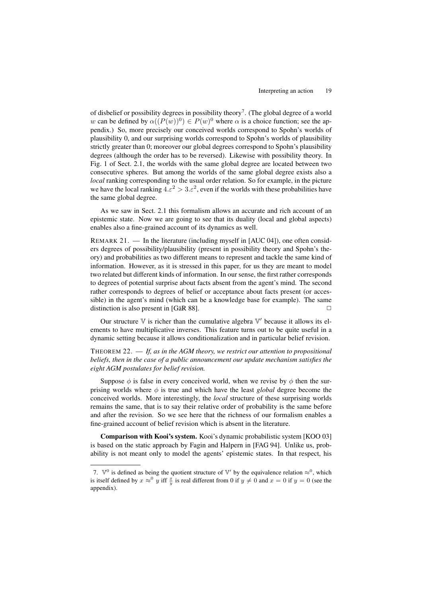of disbelief or possibility degrees in possibility theory<sup>7</sup>. (The global degree of a world w can be defined by  $\alpha((P(w))^0) \in P(w)^0$  where  $\alpha$  is a choice function; see the appendix.) So, more precisely our conceived worlds correspond to Spohn's worlds of plausibility 0, and our surprising worlds correspond to Spohn's worlds of plausibility strictly greater than 0; moreover our global degrees correspond to Spohn's plausibility degrees (although the order has to be reversed). Likewise with possibility theory. In Fig. 1 of Sect. 2.1, the worlds with the same global degree are located between two consecutive spheres. But among the worlds of the same global degree exists also a *local* ranking corresponding to the usual order relation. So for example, in the picture we have the local ranking  $4.\varepsilon^2 > 3.\varepsilon^2$ , even if the worlds with these probabilities have the same global degree.

As we saw in Sect. 2.1 this formalism allows an accurate and rich account of an epistemic state. Now we are going to see that its duality (local and global aspects) enables also a fine-grained account of its dynamics as well.

REMARK 21. — In the literature (including myself in [AUC 04]), one often considers degrees of possibility/plausibility (present in possibility theory and Spohn's theory) and probabilities as two different means to represent and tackle the same kind of information. However, as it is stressed in this paper, for us they are meant to model two related but different kinds of information. In our sense, the first rather corresponds to degrees of potential surprise about facts absent from the agent's mind. The second rather corresponds to degrees of belief or acceptance about facts present (or accessible) in the agent's mind (which can be a knowledge base for example). The same distinction is also present in  $[GAR 88]$ .  $\Box$ 

Our structure  $V$  is richer than the cumulative algebra  $V'$  because it allows its elements to have multiplicative inverses. This feature turns out to be quite useful in a dynamic setting because it allows conditionalization and in particular belief revision.

THEOREM 22. — *If, as in the AGM theory, we restrict our attention to propositional beliefs, then in the case of a public announcement our update mechanism satisfies the eight AGM postulates for belief revision.*

Suppose  $\phi$  is false in every conceived world, when we revise by  $\phi$  then the surprising worlds where  $\phi$  is true and which have the least *global* degree become the conceived worlds. More interestingly, the *local* structure of these surprising worlds remains the same, that is to say their relative order of probability is the same before and after the revision. So we see here that the richness of our formalism enables a fine-grained account of belief revision which is absent in the literature.

Comparison with Kooi's system. Kooi's dynamic probabilistic system [KOO 03] is based on the static approach by Fagin and Halpern in [FAG 94]. Unlike us, probability is not meant only to model the agents' epistemic states. In that respect, his

<sup>7.</sup>  $\mathbb{V}^0$  is defined as being the quotient structure of  $\mathbb{V}'$  by the equivalence relation  $\approx^0$ , which is itself defined by  $x \approx^0 y$  iff  $\frac{x}{y}$  is real different from 0 if  $y \neq 0$  and  $x = 0$  if  $y = 0$  (see the appendix).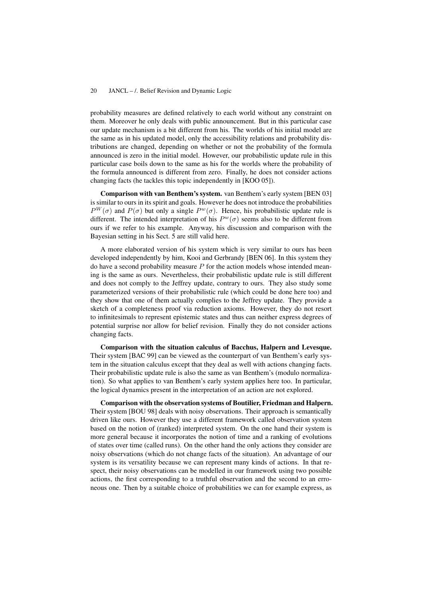probability measures are defined relatively to each world without any constraint on them. Moreover he only deals with public announcement. But in this particular case our update mechanism is a bit different from his. The worlds of his initial model are the same as in his updated model, only the accessibility relations and probability distributions are changed, depending on whether or not the probability of the formula announced is zero in the initial model. However, our probabilistic update rule in this particular case boils down to the same as his for the worlds where the probability of the formula announced is different from zero. Finally, he does not consider actions changing facts (he tackles this topic independently in [KOO 05]).

Comparison with van Benthem's system. van Benthem's early system [BEN 03] is similar to ours in its spirit and goals. However he does not introduce the probabilities  $P^{W}(\sigma)$  and  $P(\sigma)$  but only a single  $P^{w}(\sigma)$ . Hence, his probabilistic update rule is different. The intended interpretation of his  $P^{w}(\sigma)$  seems also to be different from ours if we refer to his example. Anyway, his discussion and comparison with the Bayesian setting in his Sect. 5 are still valid here.

A more elaborated version of his system which is very similar to ours has been developed independently by him, Kooi and Gerbrandy [BEN 06]. In this system they do have a second probability measure  $P$  for the action models whose intended meaning is the same as ours. Nevertheless, their probabilistic update rule is still different and does not comply to the Jeffrey update, contrary to ours. They also study some parameterized versions of their probabilistic rule (which could be done here too) and they show that one of them actually complies to the Jeffrey update. They provide a sketch of a completeness proof via reduction axioms. However, they do not resort to infinitesimals to represent epistemic states and thus can neither express degrees of potential surprise nor allow for belief revision. Finally they do not consider actions changing facts.

Comparison with the situation calculus of Bacchus, Halpern and Levesque. Their system [BAC 99] can be viewed as the counterpart of van Benthem's early system in the situation calculus except that they deal as well with actions changing facts. Their probabilistic update rule is also the same as van Benthem's (modulo normalization). So what applies to van Benthem's early system applies here too. In particular, the logical dynamics present in the interpretation of an action are not explored.

Comparison with the observation systems of Boutilier, Friedman and Halpern. Their system [BOU 98] deals with noisy observations. Their approach is semantically driven like ours. However they use a different framework called observation system based on the notion of (ranked) interpreted system. On the one hand their system is more general because it incorporates the notion of time and a ranking of evolutions of states over time (called runs). On the other hand the only actions they consider are noisy observations (which do not change facts of the situation). An advantage of our system is its versatility because we can represent many kinds of actions. In that respect, their noisy observations can be modelled in our framework using two possible actions, the first corresponding to a truthful observation and the second to an erroneous one. Then by a suitable choice of probabilities we can for example express, as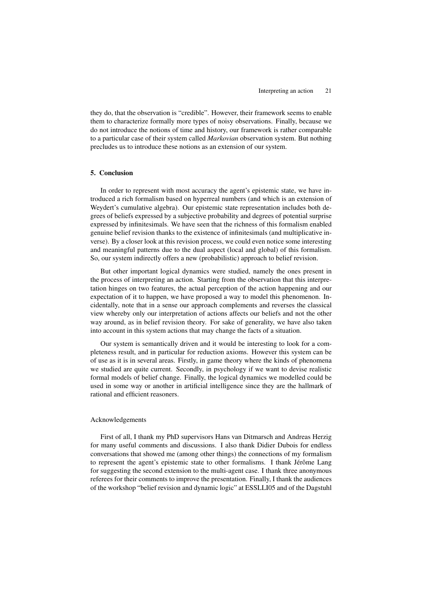they do, that the observation is "credible". However, their framework seems to enable them to characterize formally more types of noisy observations. Finally, because we do not introduce the notions of time and history, our framework is rather comparable to a particular case of their system called *Markovian* observation system. But nothing precludes us to introduce these notions as an extension of our system.

#### 5. Conclusion

In order to represent with most accuracy the agent's epistemic state, we have introduced a rich formalism based on hyperreal numbers (and which is an extension of Weydert's cumulative algebra). Our epistemic state representation includes both degrees of beliefs expressed by a subjective probability and degrees of potential surprise expressed by infinitesimals. We have seen that the richness of this formalism enabled genuine belief revision thanks to the existence of infinitesimals (and multiplicative inverse). By a closer look at this revision process, we could even notice some interesting and meaningful patterns due to the dual aspect (local and global) of this formalism. So, our system indirectly offers a new (probabilistic) approach to belief revision.

But other important logical dynamics were studied, namely the ones present in the process of interpreting an action. Starting from the observation that this interpretation hinges on two features, the actual perception of the action happening and our expectation of it to happen, we have proposed a way to model this phenomenon. Incidentally, note that in a sense our approach complements and reverses the classical view whereby only our interpretation of actions affects our beliefs and not the other way around, as in belief revision theory. For sake of generality, we have also taken into account in this system actions that may change the facts of a situation.

Our system is semantically driven and it would be interesting to look for a completeness result, and in particular for reduction axioms. However this system can be of use as it is in several areas. Firstly, in game theory where the kinds of phenomena we studied are quite current. Secondly, in psychology if we want to devise realistic formal models of belief change. Finally, the logical dynamics we modelled could be used in some way or another in artificial intelligence since they are the hallmark of rational and efficient reasoners.

#### Acknowledgements

First of all, I thank my PhD supervisors Hans van Ditmarsch and Andreas Herzig for many useful comments and discussions. I also thank Didier Dubois for endless conversations that showed me (among other things) the connections of my formalism to represent the agent's epistemic state to other formalisms. I thank Jérôme Lang for suggesting the second extension to the multi-agent case. I thank three anonymous referees for their comments to improve the presentation. Finally, I thank the audiences of the workshop "belief revision and dynamic logic" at ESSLLI05 and of the Dagstuhl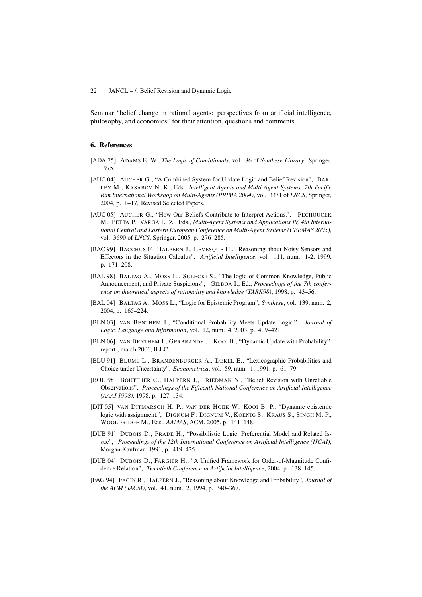Seminar "belief change in rational agents: perspectives from artificial intelligence, philosophy, and economics" for their attention, questions and comments.

#### 6. References

- [ADA 75] ADAMS E. W., *The Logic of Conditionals*, vol. 86 of *Synthese Library*, Springer, 1975.
- [AUC 04] AUCHER G., "A Combined System for Update Logic and Belief Revision", BAR-LEY M., KASABOV N. K., Eds., *Intelligent Agents and Multi-Agent Systems, 7th Pacific Rim International Workshop on Multi-Agents (PRIMA 2004)*, vol. 3371 of *LNCS*, Springer, 2004, p. 1–17, Revised Selected Papers.
- [AUC 05] AUCHER G., "How Our Beliefs Contribute to Interpret Actions.", PECHOUCEK M., PETTA P., VARGA L. Z., Eds., *Multi-Agent Systems and Applications IV, 4th International Central and Eastern European Conference on Multi-Agent Systems (CEEMAS 2005)*, vol. 3690 of *LNCS*, Springer, 2005, p. 276–285.
- [BAC 99] BACCHUS F., HALPERN J., LEVESQUE H., "Reasoning about Noisy Sensors and Effectors in the Situation Calculus", *Artificial Intelligence*, vol. 111, num. 1-2, 1999, p. 171–208.
- [BAL 98] BALTAG A., MOSS L., SOLECKI S., "The logic of Common Knowledge, Public Announcement, and Private Suspicions", GILBOA I., Ed., *Proceedings of the 7th conference on theoretical aspects of rationality and knowledge (TARK98)*, 1998, p. 43–56.
- [BAL 04] BALTAG A., MOSS L., "Logic for Epistemic Program", *Synthese*, vol. 139, num. 2, 2004, p. 165–224.
- [BEN 03] VAN BENTHEM J., "Conditional Probability Meets Update Logic.", *Journal of Logic, Language and Information*, vol. 12, num. 4, 2003, p. 409–421.
- [BEN 06] VAN BENTHEM J., GERBRANDY J., KOOI B., "Dynamic Update with Probability", report , march 2006, ILLC.
- [BLU 91] BLUME L., BRANDENBURGER A., DEKEL E., "Lexicographic Probabilities and Choice under Uncertainty", *Econometrica*, vol. 59, num. 1, 1991, p. 61–79.
- [BOU 98] BOUTILIER C., HALPERN J., FRIEDMAN N., "Belief Revision with Unreliable Observations", *Proceedings of the Fifteenth National Conference on Artificial Intelligence (AAAI 1998)*, 1998, p. 127–134.
- [DIT 05] VAN DITMARSCH H. P., VAN DER HOEK W., KOOI B. P., "Dynamic epistemic logic with assignment.", DIGNUM F., DIGNUM V., KOENIG S., KRAUS S., SINGH M. P., WOOLDRIDGE M., Eds., *AAMAS*, ACM, 2005, p. 141–148.
- [DUB 91] DUBOIS D., PRADE H., "Possibilistic Logic, Preferential Model and Related Issue", *Proceedings of the 12th International Conference on Artificial Intelligence (IJCAI)*, Morgan Kaufman, 1991, p. 419–425.
- [DUB 04] DUBOIS D., FARGIER H., "A Unified Framework for Order-of-Magnitude Confidence Relation", *Twentieth Conference in Artificial Intelligence*, 2004, p. 138–145.
- [FAG 94] FAGIN R., HALPERN J., "Reasoning about Knowledge and Probability", *Journal of the ACM (JACM)*, vol. 41, num. 2, 1994, p. 340–367.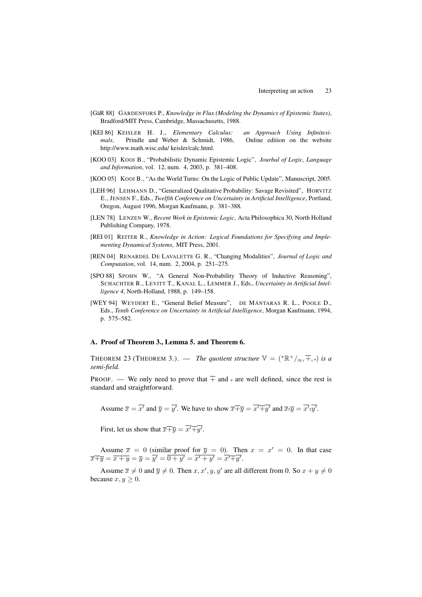- [GäR 88] GÄRDENFORS P., *Knowledge in Flux (Modeling the Dynamics of Epistemic States)*, Bradford/MIT Press, Cambridge, Massachusetts, 1988.
- [KEI 86] KEISLER H. J., *Elementary Calculus: an Approach Using Infinitesimals*, Prindle and Weber & Schmidt, 1986, Online edition on the website http://www.math.wisc.edu/ keisler/calc.html.
- [KOO 03] KOOI B., "Probabilistic Dynamic Epistemic Logic", *Jourbal of Logic, Language and Information*, vol. 12, num. 4, 2003, p. 381–408.
- [KOO 05] KOOI B., "As the World Turns: On the Logic of Public Update", Manuscript, 2005.
- [LEH 96] LEHMANN D., "Generalized Qualitative Probability: Savage Revisited", HORVITZ E., JENSEN F., Eds., *Twelfth Conference on Uncertainty in Artificial Intelligence*, Portland, Oregon, August 1996, Morgan Kaufmann, p. 381–388.
- [LEN 78] LENZEN W., *Recent Work in Epistemic Logic*, Acta Philosophica 30, North Holland Publishing Company, 1978.
- [REI 01] REITER R., *Knowledge in Action: Logical Foundations for Specifying and Implementing Dynamical Systems*, MIT Press, 2001.
- [REN 04] RENARDEL DE LAVALETTE G. R., "Changing Modalities", *Journal of Logic and Computation*, vol. 14, num. 2, 2004, p. 251–275.
- [SPO 88] SPOHN W., "A General Non-Probability Theory of Inductive Reasoning", SCHACHTER R., LEVITT T., KANAL L., LEMMER J., Eds., *Uncertainty in Artificial Intelligence 4*, North-Holland, 1988, p. 149–158.
- [WEY 94] WEYDERT E., "General Belief Measure", DE MÁNTARAS R. L., POOLE D., Eds., *Tenth Conference on Uncertainty in Artificial Intelligence*, Morgan Kaufmann, 1994, p. 575–582.

#### A. Proof of Theorem 3., Lemma 5. and Theorem 6.

THEOREM 23 (THEOREM 3.). — *The quotient structure*  $\mathbb{V} = \left( \mathbb{R}^+ /_{\approx}, \pm, \pm \right)$  *is a semi-field.*

PROOF. — We only need to prove that  $\pm$  and  $\pm$  are well defined, since the rest is standard and straightforward.

Assume  $\overline{x} = \overline{x'}$  and  $\overline{y} = \overline{y'}$ . We have to show  $\overline{x} + \overline{y} = \overline{x'} + \overline{y'}$  and  $\overline{x} \cdot \overline{y} = \overline{x'} \cdot \overline{y'}$ .

First, let us show that  $\overline{x+}\overline{y} = \overline{x'+}\overline{y'}$ .

Assume  $\bar{x} = 0$  (similar proof for  $\bar{y} = 0$ ). Then  $x = x' = 0$ . In that case  $\overline{x+}\overline{y} = \overline{x+y} = \overline{y} = \overline{y'} = \overline{0+y'} = \overline{x'+y'} = \overline{x'} + \overline{y'}.$ 

Assume  $\overline{x} \neq 0$  and  $\overline{y} \neq 0$ . Then  $x, x', y, y'$  are all different from 0. So  $x + y \neq 0$ because  $x, y \geq 0$ .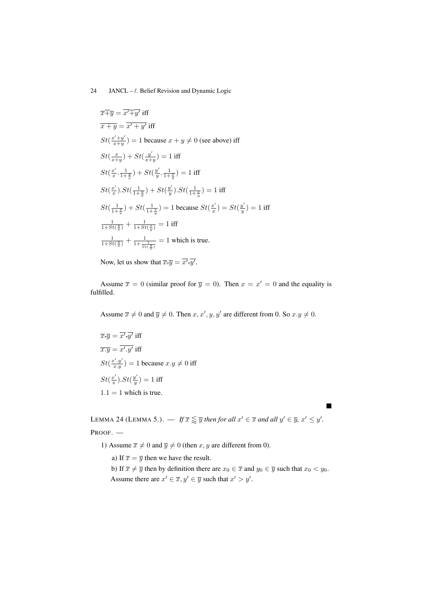$$
\overline{x+y} = \overline{x' + y'} \text{ iff}
$$
\n
$$
\overline{x+y} = \overline{x' + y'} \text{ iff}
$$
\n
$$
St(\frac{x'+y'}{x+y}) = 1 \text{ because } x + y \neq 0 \text{ (see above) iff}
$$
\n
$$
St(\frac{x}{x+y}) + St(\frac{y'}{x+y}) = 1 \text{ iff}
$$
\n
$$
St(\frac{x'}{x} \cdot \frac{1}{1+\frac{y}{x}}) + St(\frac{y'}{y} \cdot \frac{1}{1+\frac{x}{y}}) = 1 \text{ iff}
$$
\n
$$
St(\frac{x'}{x}) \cdot St(\frac{1}{1+\frac{y}{x}}) + St(\frac{y'}{y}) \cdot St(\frac{1}{1+\frac{x}{y}}) = 1 \text{ iff}
$$
\n
$$
St(\frac{1}{1+\frac{y}{x}}) + St(\frac{1}{1+\frac{x}{y}}) = 1 \text{ because } St(\frac{x'}{x}) = St(\frac{y'}{y}) = 1 \text{ iff}
$$
\n
$$
\frac{1}{1+St(\frac{y}{x})} + \frac{1}{1+St(\frac{x}{y})} = 1 \text{ iff}
$$
\n
$$
\frac{1}{1+St(\frac{y}{x})} + \frac{1}{1+\frac{1}{St(\frac{y}{x})}} = 1 \text{ which is true.}
$$

Now, let us show that  $\overline{x} \cdot \overline{y} = \overline{x' \cdot y'}$ .

Assume  $\bar{x} = 0$  (similar proof for  $\bar{y} = 0$ ). Then  $x = x' = 0$  and the equality is fulfilled.

Assume  $\overline{x} \neq 0$  and  $\overline{y} \neq 0$ . Then  $x, x', y, y'$  are different from 0. So  $x, y \neq 0$ .

$$
\overline{x}:\overline{y} = \overline{x'}:\overline{y'} \text{ iff}
$$
  
\n
$$
\overline{x}:\overline{y} = \overline{x'}.y' \text{ iff}
$$
  
\n
$$
St(\frac{x'.y'}{x.y}) = 1 \text{ because } x.y \neq 0 \text{ iff}
$$
  
\n
$$
St(\frac{x'}{x}).St(\frac{y'}{y}) = 1 \text{ iff}
$$
  
\n1.1 = 1 which is true.

LEMMA 24 (LEMMA 5.).  $\longrightarrow$  *If*  $\overline{x} \lessapprox \overline{y}$  then for all  $x' \in \overline{x}$  and all  $y' \in \overline{y}$ ,  $x' \leq y'$ . PROOF. —

1) Assume  $\overline{x} \neq 0$  and  $\overline{y} \neq 0$  (then x, y are different from 0).

a) If  $\bar{x} = \bar{y}$  then we have the result.

b) If  $\overline{x} \neq \overline{y}$  then by definition there are  $x_0 \in \overline{x}$  and  $y_0 \in \overline{y}$  such that  $x_0 < y_0$ . Assume there are  $x' \in \overline{x}$ ,  $y' \in \overline{y}$  such that  $x' > y'$ .

■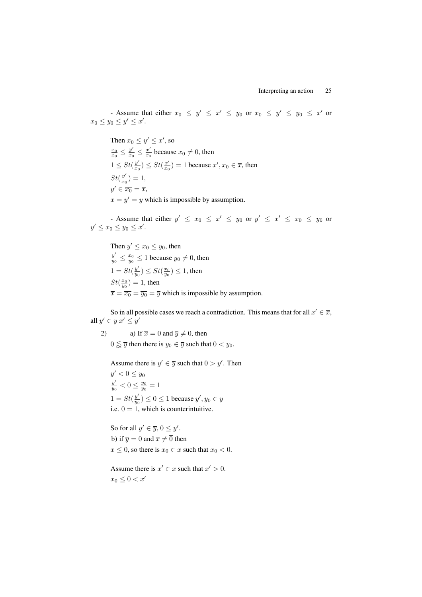- Assume that either  $x_0 \leq y' \leq x' \leq y_0$  or  $x_0 \leq y' \leq y_0 \leq x'$  or  $x_0 \leq y_0 \leq y' \leq x'.$ 

Then  $x_0 \leq y' \leq x'$ , so  $\frac{x_0}{x_0} \leq \frac{y'}{x_0}$  $\frac{y'}{x_0} \leq \frac{x'}{x_0}$  $\frac{x'}{x_0}$  because  $x_0 \neq 0$ , then  $1 \leq St(\frac{y'}{x})$  $\frac{y'}{x_0}$ )  $\leq St(\frac{x'}{x_0})$  $\frac{x'}{x_0}$ ) = 1 because  $x', x_0 \in \overline{x}$ , then  $St(\frac{y'}{x})$  $\frac{y}{x_0}$ ) = 1,  $y' \in \overline{x_0} = \overline{x},$  $\overline{x} = \overline{y'} = \overline{y}$  which is impossible by assumption.

- Assume that either  $y' \leq x_0 \leq x' \leq y_0$  or  $y' \leq x' \leq x_0 \leq y_0$  or  $y' \leq x_0 \leq y_0 \leq x'.$ 

Then  $y' \leq x_0 \leq y_0$ , then  $y'$  $\frac{y'}{y_0} \leq \frac{x_0}{y_0} \leq 1$  because  $y_0 \neq 0$ , then  $1 = St(\frac{y'}{y})$  $\frac{y'}{y_0}$ )  $\leq St(\frac{x_0}{y_0}) \leq 1$ , then  $St(\frac{x_0}{y_0}) = 1$ , then  $\overline{x} = \overline{x_0} = \overline{y_0} = \overline{y}$  which is impossible by assumption.

So in all possible cases we reach a contradiction. This means that for all  $x' \in \overline{x}$ , all  $y' \in \overline{y} x' \leq y'$ 

2) a) If  $\overline{x} = 0$  and  $\overline{y} \neq 0$ , then  $0 \leq \overline{y}$  then there is  $y_0 \in \overline{y}$  such that  $0 < y_0$ .

Assume there is  $y' \in \overline{y}$  such that  $0 > y'$ . Then  $y' < 0 \leq y_0$  $y'$  $\frac{y'}{y_0} < 0 \leq \frac{y_0}{y_0} = 1$  $1 = St(\frac{y'}{y})$  $\frac{y'}{y_0}$ )  $\leq 0 \leq 1$  because  $y', y_0 \in \overline{y}$ i.e.  $0 = 1$ , which is counterintuitive.

So for all  $y' \in \overline{y}$ ,  $0 \le y'$ . b) if  $\overline{y} = 0$  and  $\overline{x} \neq \overline{0}$  then  $\overline{x} \leq 0$ , so there is  $x_0 \in \overline{x}$  such that  $x_0 < 0$ .

Assume there is  $x' \in \overline{x}$  such that  $x' > 0$ .  $x_0 \leq 0 < x'$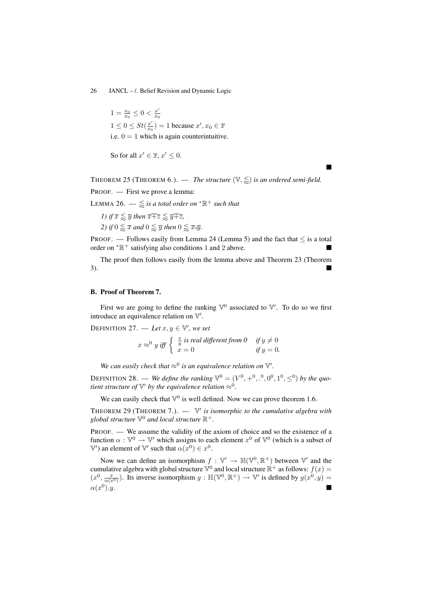$1 = \frac{x_0}{x_0} \leq 0 < \frac{x'}{x_0}$  $\overline{x_0}$  $1 \leq 0 \leq St(\frac{x'}{x})$  $\left(\frac{x'}{x_0}\right) = 1$  because  $x', x_0 \in \overline{x}$ i.e.  $0 = 1$  which is again counterintuitive.

So for all  $x' \in \overline{x}$ ,  $x' \leq 0$ .

THEOREM 25 (THEOREM 6.). — *The structure*  $(\mathbb{V}, \leq)$  *is an ordered semi-field.* 

■

PROOF. — First we prove a lemma:

LEMMA 26.  $-\leq$  *is a total order on*  ${}^* \mathbb{R}^+$  *such that* 

*1)* if  $\overline{x} \lessapprox \overline{y}$  then  $\overline{x+z} \lessapprox \overline{y+z}$ , *2) if*  $0 \leq \overline{x}$  *and*  $0 \leq \overline{y}$  *then*  $0 \leq \overline{x}$ *.* $\overline{y}$ *.* 

PROOF. — Follows easily from Lemma 24 (Lemma 5) and the fact that  $\leq$  is a total order on  ${}^* \mathbb{R}^+$  satisfying also conditions 1 and 2 above.

The proof then follows easily from the lemma above and Theorem 23 (Theorem  $3)$ .

#### B. Proof of Theorem 7.

First we are going to define the ranking  $\mathbb{V}^0$  associated to  $\mathbb{V}'$ . To do so we first introduce an equivalence relation on  $V'$ .

DEFINITION 27. — Let  $x, y \in \mathbb{V}'$ , we set

$$
x \approx^0 y
$$
 iff  $\begin{cases} \frac{x}{y} \text{ is real different from } 0 & \text{if } y \neq 0 \\ x = 0 & \text{if } y = 0. \end{cases}$ 

We can easily check that  $\approx^0$  is an equivalence relation on  $\mathbb{V}'$ .

DEFINITION 28. — We define the ranking  $\mathbb{V}^0 = (V^0, +^0, .^0, 0^0, 1^0, \leq^0)$  by the quo*tient structure of*  $V'$  *by the equivalence relation*  $\approx^0$ *.* 

We can easily check that  $\mathbb{V}^0$  is well defined. Now we can prove theorem 1.6.

THEOREM 29 (THEOREM 7.).  $\mathbb{V}'$  is isomorphic to the cumulative algebra with global structure  $\mathbb{V}^0$  and local structure  $\mathbb{R}^+$ .

PROOF. — We assume the validity of the axiom of choice and so the existence of a function  $\alpha: \mathbb{V}^0 \to \mathbb{V}'$  which assigns to each element  $x^0$  of  $\mathbb{V}^0$  (which is a subset of V') an element of V' such that  $\alpha(x^0) \in x^0$ .

Now we can define an isomorphism  $f : \mathbb{V}' \to \mathbb{H}(\mathbb{V}^0, \mathbb{R}^+)$  between  $\mathbb{V}'$  and the cumulative algebra with global structure  $\mathbb{V}^0$  and local structure  $\mathbb{R}^+$  as follows:  $f(x) =$  $(x^0, \frac{x}{\alpha(x^0)})$ . Its inverse isomorphism  $g : \mathbb{H}(\mathbb{V}^0, \mathbb{R}^+) \to \mathbb{V}'$  is defined by  $g(x^0, y) =$  $\alpha(x^0)$  $\Box$ ).  $y$ .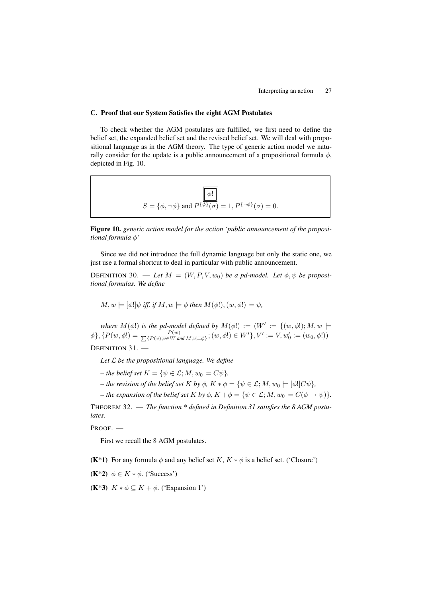#### C. Proof that our System Satisfies the eight AGM Postulates

To check whether the AGM postulates are fulfilled, we first need to define the belief set, the expanded belief set and the revised belief set. We will deal with propositional language as in the AGM theory. The type of generic action model we naturally consider for the update is a public announcement of a propositional formula  $\phi$ , depicted in Fig. 10.

$$
S = \{\phi, \neg \phi\} \text{ and } P^{\{\phi\}}(\sigma) = 1, P^{\{\neg \phi\}}(\sigma) = 0.
$$

Figure 10. *generic action model for the action 'public announcement of the propositional formula* φ*'*

Since we did not introduce the full dynamic language but only the static one, we just use a formal shortcut to deal in particular with public announcement.

DEFINITION 30. — Let  $M = (W, P, V, w_0)$  be a pd-model. Let  $\phi, \psi$  be proposi*tional formulas. We define*

$$
M, w \models [\phi!] \psi
$$
 iff, if  $M, w \models \phi$  then  $M(\phi!), (w, \phi!) \models \psi$ ,

*where*  $M(\phi!)$  *is the pd-model defined by*  $M(\phi!) := (W' := \{(w, \phi!) : M, w \models \phi\}$  $\phi$ ,  $\{P(w,\phi!) = \frac{P(w)}{\sum_{P(\phi):w \in W, w}}\}$  $\frac{P(w)}{\{P(v):v\in W \text{ and } M,v\models \phi\}}$ ;  $(w,\phi!) \in W'$ ,  $V' := V, w'_0 := (w_0, \phi!)$ DEFINITION 31. —

*Let* L *be the propositional language. We define*

- *the belief set*  $K = \{ \psi \in \mathcal{L}; M, w_0 \models C\psi \},\$
- *the revision of the belief set* K *by*  $\phi$ ,  $K * \phi = {\psi \in \mathcal{L}; M, w_0 \models [\phi]C\psi},$
- *the expansion of the belief set* K *by*  $\phi$ ,  $K + \phi = {\psi \in \mathcal{L} : M, w_0 \models C(\phi \rightarrow \psi)}$ .

THEOREM 32. — *The function \* defined in Definition 31 satisfies the 8 AGM postulates.*

PROOF. —

First we recall the 8 AGM postulates.

(K<sup>\*</sup>1) For any formula  $\phi$  and any belief set K,  $K * \phi$  is a belief set. ('Closure')

(K\*2)  $\phi \in K * \phi$ . ('Success')

(K\*3)  $K * \phi \subseteq K + \phi$ . ('Expansion 1')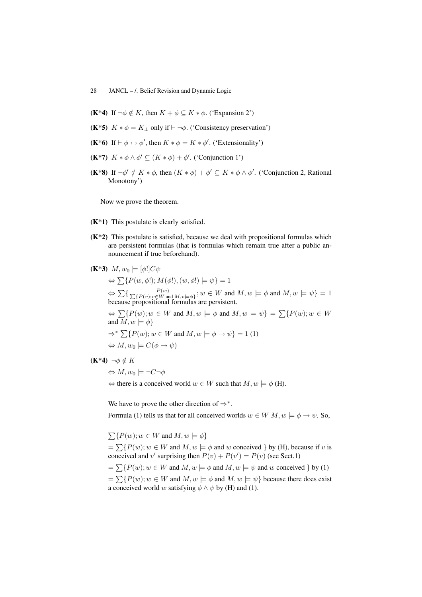- 28 JANCL /. Belief Revision and Dynamic Logic
- (K\*4) If  $\neg \phi \notin K$ , then  $K + \phi \subseteq K * \phi$ . ('Expansion 2')
- (K\*5)  $K * \phi = K_{\perp}$  only if  $\vdash \neg \phi$ . ('Consistency preservation')
- (K\*6) If  $\vdash \phi \leftrightarrow \phi'$ , then  $K * \phi = K * \phi'$ . ('Extensionality')
- $(K^*7)$   $K * \phi \wedge \phi' \subseteq (K * \phi) + \phi'.$  ('Conjunction 1')
- (K\*8) If  $\neg \phi' \notin K * \phi$ , then  $(K * \phi) + \phi' \subseteq K * \phi \wedge \phi'$ . ('Conjunction 2, Rational Monotony')

Now we prove the theorem.

- (K\*1) This postulate is clearly satisfied.
- $(K^*2)$  This postulate is satisfied, because we deal with propositional formulas which are persistent formulas (that is formulas which remain true after a public announcement if true beforehand).

(K\*3)  $M, w_0 \models [\phi!] C\psi$ 

 $\Leftrightarrow \sum \{P(w, \phi!) ; M(\phi!) , (w, \phi!) \models \psi\} = 1$ 

 $\Leftrightarrow \sum \left\{ \frac{P(w)}{\sum_{P(x):y\in W, y}} \right\}$  $\frac{P(w)}{\{P(v):v\in W \text{ and } M,v\models\phi\}}$ ;  $w\in W$  and  $M, w\models \phi$  and  $M, w\models \psi\}=1$ because propositional formulas are persistent.

 $\Leftrightarrow \sum \{P(w); w \in W \text{ and } M, w \models \phi \text{ and } M, w \models \psi\} = \sum \{P(w); w \in W\}$ and  $\overrightarrow{M}, w \models \phi$  $\Rightarrow^* \sum \{P(w); w \in W \text{ and } M, w \models \phi \rightarrow \psi\} = 1$  (1)

$$
\Leftrightarrow M, w_0 \models C(\phi \rightarrow \psi)
$$

 $(K^*4) \neg \phi \notin K$ 

 $\Leftrightarrow M, w_0 \models \neg C \neg \phi$ 

 $\Leftrightarrow$  there is a conceived world  $w \in W$  such that  $M, w \models \phi$  (H).

We have to prove the other direction of  $\Rightarrow^*$ .

Formula (1) tells us that for all conceived worlds  $w \in W M$ ,  $w \models \phi \rightarrow \psi$ . So,

 $\sum \{P(w); w \in W \text{ and } M, w \models \phi\}$ 

 $= \sum \{P(w); w \in W \text{ and } M, w \models \phi \text{ and } w \text{ conceived } \}$  by (H), because if v is conceived and v' surprising then  $P(v) + P(v') = P(v)$  (see Sect.1)

 $=\sum \{P(w); w \in W \text{ and } M, w \models \phi \text{ and } M, w \models \psi \text{ and } w \text{ conceived }\}$  by (1)

 $= \sum \{P(w); w \in W \text{ and } M, w \models \phi \text{ and } M, w \models \psi\}$  because there does exist a conceived world w satisfying  $\phi \land \psi$  by (H) and (1).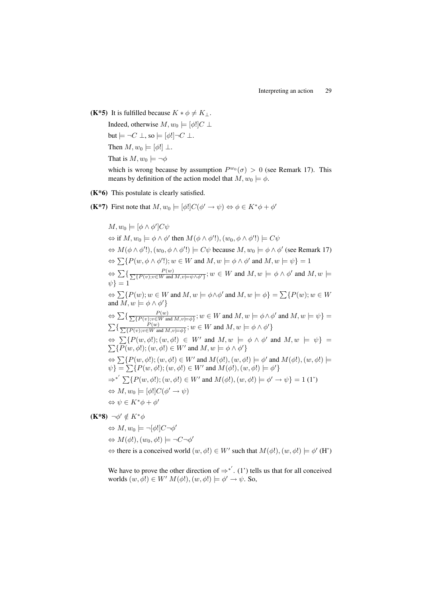(K\*5) It is fulfilled because  $K * \phi \neq K_{\perp}$ . Indeed, otherwise  $M, w_0 \models [\phi!]C \perp$ but  $\models \neg C \perp$ , so  $\models [\phi!] \neg C \perp$ . Then  $M, w_0 \models [\phi!] \perp$ . That is  $M, w_0 \models \neg \phi$ which is wrong because by assumption  $P^{w_0}(\sigma) > 0$  (see Remark 17). This means by definition of the action model that  $M, w_0 \models \phi$ .

## (K\*6) This postulate is clearly satisfied.

**(K\*7)** First note that  $M, w_0 \models [\phi!] C(\phi' \rightarrow \psi) \Leftrightarrow \phi \in K^* \phi + \phi'$ 

$$
M, w_0 \models [\phi \land \phi']C\psi
$$
  
\n⇒ if  $M, w_0 \models \phi \land \phi'$  then  $M(\phi \land \phi'!), (w_0, \phi \land \phi'!) \models C\psi$   
\n⇒  $M(\phi \land \phi'!), (w_0, \phi \land \phi'!) \models C\psi$  because  $M, w_0 \models \phi \land \phi'$  (see Remark 17)  
\n⇒  $\sum \{P(w, \phi \land \phi'!); w \in W \text{ and } M, w \models \phi \land \phi' \text{ and } M, w \models \psi\} = 1$   
\n⇒  $\sum \{\frac{P(w)}{\sum \{P(v); v \in W \text{ and } M, v \models \psi \land \phi' \text{ and } M, w \models \phi \land \phi' \text{ and } M, w \models \psi\}} = 1$   
\n⇒  $\sum \{P(w); w \in W \text{ and } M, w \models \phi \land \phi' \text{ and } M, w \models \phi \land \phi' \text{ and } M, w \models \phi \land \phi'\}$   
\nand  $M, w \models \phi \land \phi'\}$   
\n⇒  $\sum \{\frac{P(w)}{\sum \{P(v); v \in W \text{ and } M, v \models \phi} \text{ and } M, w \models \phi \land \phi' \text{ and } M, w \models \psi\}} = \frac{\sum \{P(w); w \in W \text{ and } M, w \models \phi \land \phi' \text{ and } M, w \models \psi\}}{\sum \{P(v), v \in W \text{ and } M, v \models \phi \land \phi' \text{ and } M, w \models \phi \land \phi'\}} \Leftrightarrow \sum \{P(w, \phi!); (w, \phi!) \in W' \text{ and } M, w \models \phi \land \phi'\}$   
\n⇒  $\sum \{P(w, \phi!); (w, \phi!) \in W' \text{ and } M(\phi!), (w, \phi!) \models \phi' \text{ and } M(\phi!), (w, \phi!) \models \phi'\}$   
\n⇒  $\sum \{P(w, \phi!); (w, \phi!) \in W' \text{ and } M(\phi!), (w, \phi!) \models \phi'\}$   
\n⇒  $\ast' \sum \{P(w, \phi!); (w, \phi!) \in W' \text{ and } M(\phi!), (w, \phi!) \models \phi'\$ 

 $(K^*8) \neg \phi' \notin K^* \phi$ 

$$
\Leftrightarrow M, w_0 \models \neg [\phi!] C \neg \phi'
$$

 $\Leftrightarrow M(\phi!)$ ,  $(w_0, \phi!) \models \neg C \neg \phi'$ 

 $\Leftrightarrow$  there is a conceived world  $(w, \phi!) \in W'$  such that  $M(\phi!)$ ,  $(w, \phi!) \models \phi'$  (H')

We have to prove the other direction of  $\Rightarrow^*$ . (1') tells us that for all conceived worlds  $(w, \phi!) \in W'$   $M(\phi!)$ ,  $(w, \phi!) \models \phi' \rightarrow \psi$ . So,